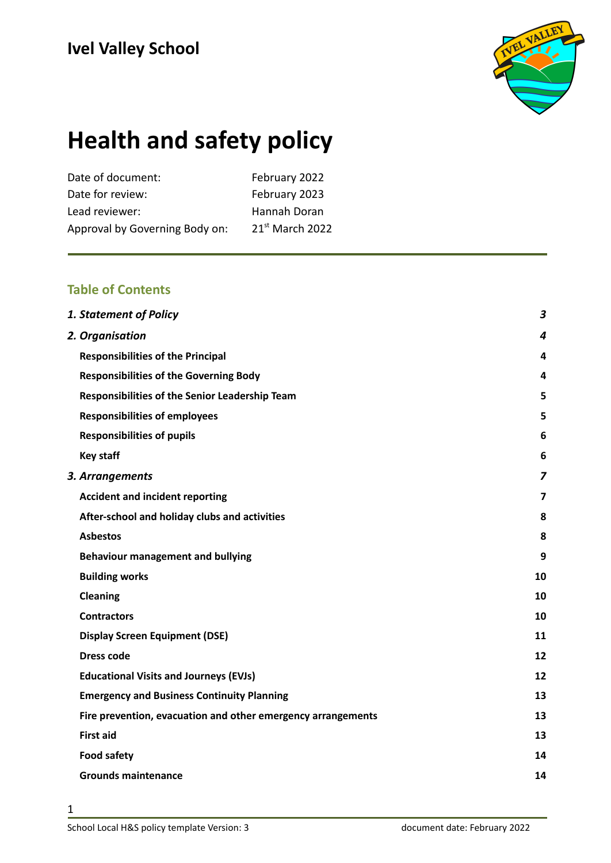

# **Health and safety policy**

| February 2022     |
|-------------------|
| February 2023     |
| Hannah Doran      |
| $21st$ March 2022 |
|                   |

#### **Table of Contents**

| <b>1. Statement of Policy</b>                                | $\boldsymbol{3}$        |
|--------------------------------------------------------------|-------------------------|
| 2. Organisation                                              | 4                       |
| <b>Responsibilities of the Principal</b>                     | $\overline{\mathbf{4}}$ |
| <b>Responsibilities of the Governing Body</b>                | 4                       |
| Responsibilities of the Senior Leadership Team               | 5                       |
| <b>Responsibilities of employees</b>                         | 5                       |
| <b>Responsibilities of pupils</b>                            | 6                       |
| <b>Key staff</b>                                             | 6                       |
| 3. Arrangements                                              | 7                       |
| <b>Accident and incident reporting</b>                       | $\overline{7}$          |
| After-school and holiday clubs and activities                | 8                       |
| <b>Asbestos</b>                                              | 8                       |
| <b>Behaviour management and bullying</b>                     | 9                       |
| <b>Building works</b>                                        | 10                      |
| Cleaning                                                     | 10                      |
| <b>Contractors</b>                                           | 10                      |
| <b>Display Screen Equipment (DSE)</b>                        | 11                      |
| <b>Dress code</b>                                            | 12                      |
| <b>Educational Visits and Journeys (EVJs)</b>                | 12                      |
| <b>Emergency and Business Continuity Planning</b>            | 13                      |
| Fire prevention, evacuation and other emergency arrangements | 13                      |
| <b>First aid</b>                                             | 13                      |
| <b>Food safety</b>                                           | 14                      |
| <b>Grounds maintenance</b>                                   | 14                      |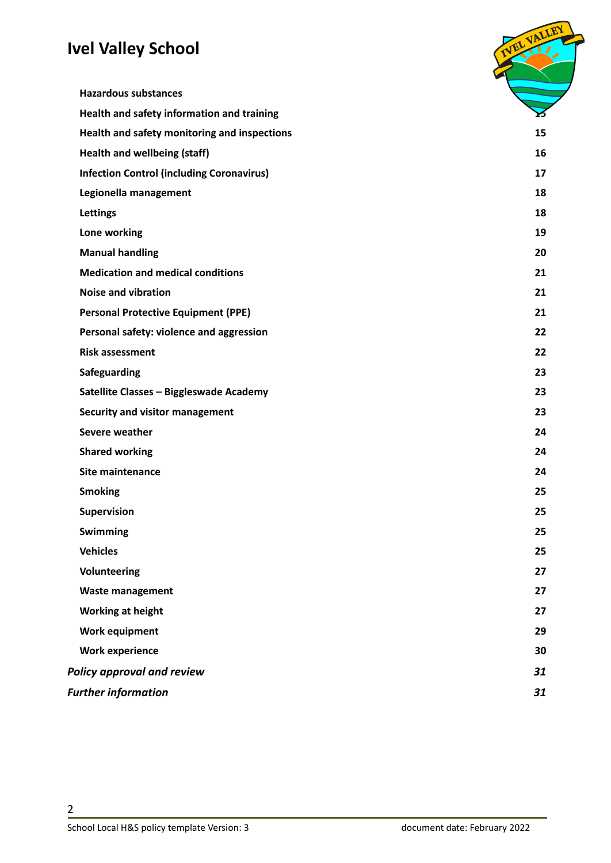| <b>Hazardous substances</b>                      |    |
|--------------------------------------------------|----|
| Health and safety information and training       |    |
| Health and safety monitoring and inspections     | 15 |
| Health and wellbeing (staff)                     | 16 |
| <b>Infection Control (including Coronavirus)</b> | 17 |
| Legionella management                            | 18 |
| Lettings                                         | 18 |
| Lone working                                     | 19 |
| <b>Manual handling</b>                           | 20 |
| <b>Medication and medical conditions</b>         | 21 |
| <b>Noise and vibration</b>                       | 21 |
| <b>Personal Protective Equipment (PPE)</b>       | 21 |
| Personal safety: violence and aggression         | 22 |
| <b>Risk assessment</b>                           | 22 |
| Safeguarding                                     | 23 |
| Satellite Classes - Biggleswade Academy          | 23 |
| Security and visitor management                  | 23 |
| Severe weather                                   | 24 |
| <b>Shared working</b>                            | 24 |
| Site maintenance                                 | 24 |
| <b>Smoking</b>                                   | 25 |
| Supervision                                      | 25 |
| <b>Swimming</b>                                  | 25 |
| <b>Vehicles</b>                                  | 25 |
| Volunteering                                     | 27 |
| <b>Waste management</b>                          | 27 |
| Working at height                                | 27 |
| <b>Work equipment</b>                            | 29 |
| <b>Work experience</b>                           | 30 |
| <b>Policy approval and review</b>                | 31 |
| <b>Further information</b>                       | 31 |
|                                                  |    |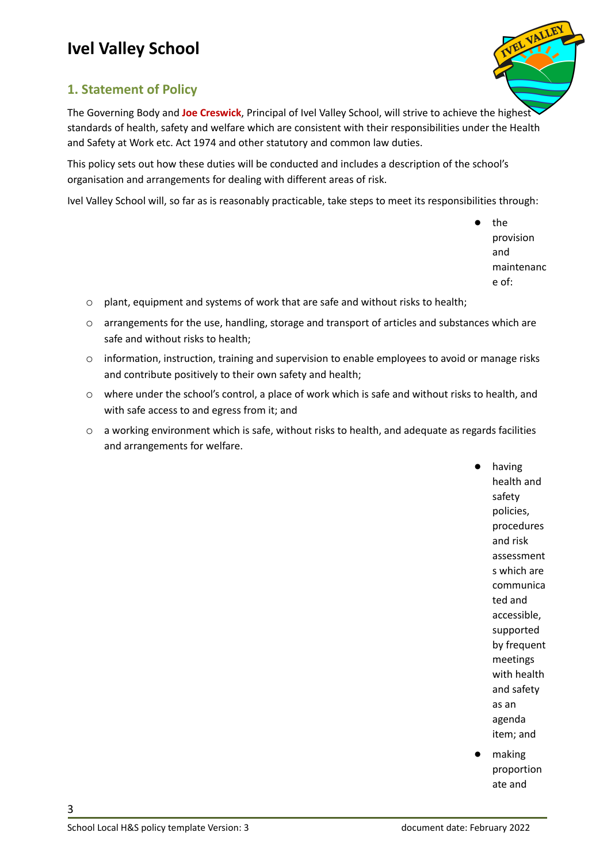

#### <span id="page-2-0"></span>**1. Statement of Policy**

The Governing Body and **Joe Creswick**, Principal of Ivel Valley School, will strive to achieve the highest standards of health, safety and welfare which are consistent with their responsibilities under the Health and Safety at Work etc. Act 1974 and other statutory and common law duties.

This policy sets out how these duties will be conducted and includes a description of the school's organisation and arrangements for dealing with different areas of risk.

Ivel Valley School will, so far as is reasonably practicable, take steps to meet its responsibilities through:

the provision and maintenanc e of:

- o plant, equipment and systems of work that are safe and without risks to health;
- o arrangements for the use, handling, storage and transport of articles and substances which are safe and without risks to health;
- o information, instruction, training and supervision to enable employees to avoid or manage risks and contribute positively to their own safety and health;
- o where under the school's control, a place of work which is safe and without risks to health, and with safe access to and egress from it; and
- o a working environment which is safe, without risks to health, and adequate as regards facilities and arrangements for welfare.

having health and safety policies, procedures and risk assessment s which are communica ted and accessible, supported by frequent meetings with health and safety as an agenda item; and

making proportion ate and

School Local H&S policy template Version: 3 document date: February 2022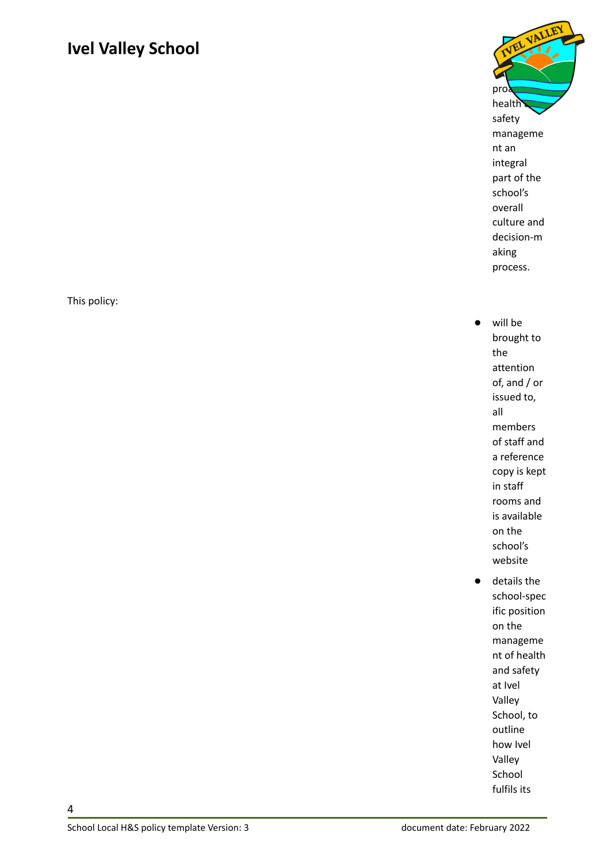This policy:



- will be brought to the attention of, and / or issued to, all members of staff and a reference copy is kept in staff rooms and is available on the school's website ● details the
	- school-spec ific position on the manageme nt of health and safety at Ivel Valley School, to outline how Ivel Valley School fulfils its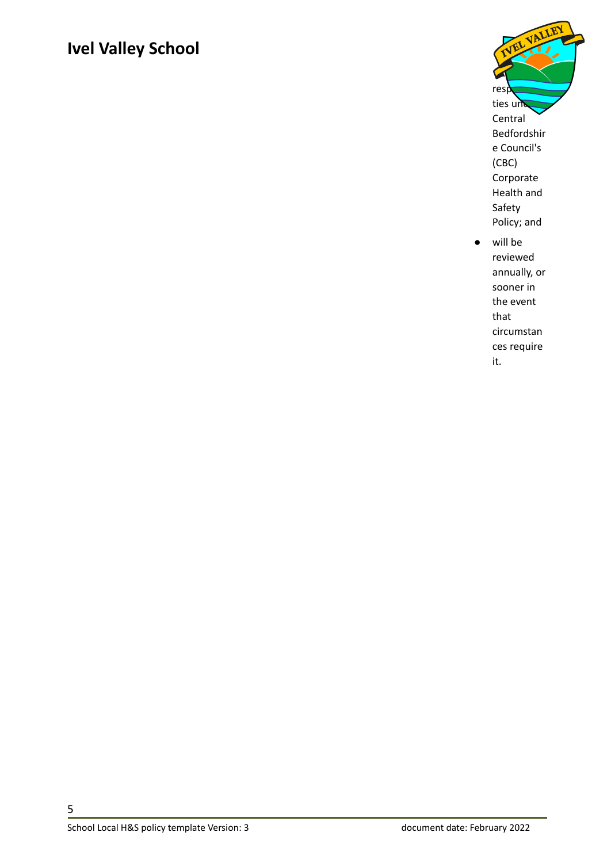

<span id="page-4-0"></span>will be reviewed annually, or sooner in the event that circumstan ces require it.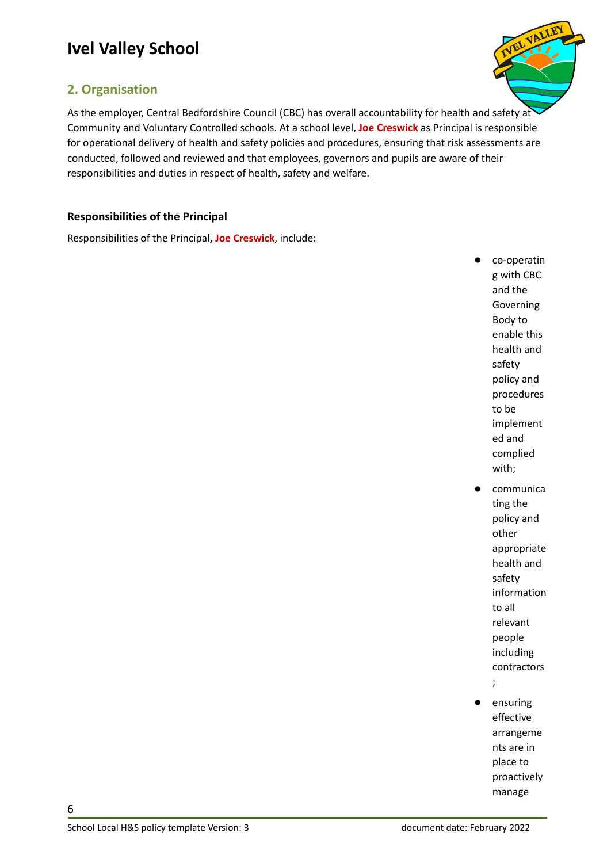#### <span id="page-5-0"></span>**2. Organisation**



As the employer, Central Bedfordshire Council (CBC) has overall accountability for health and safety at Community and Voluntary Controlled schools. At a school level, **Joe Creswick** as Principal is responsible for operational delivery of health and safety policies and procedures, ensuring that risk assessments are conducted, followed and reviewed and that employees, governors and pupils are aware of their responsibilities and duties in respect of health, safety and welfare.

#### <span id="page-5-1"></span>**Responsibilities of the Principal**

Responsibilities of the Principal**, Joe Creswick**, include:

- co-operatin g with CBC and the Governing Body to enable this health and safety policy and procedures to be implement ed and complied with; communica ting the policy and other appropriate health and
	- safety information to all relevant people including
	- contractors
	- ;
- ensuring effective arrangeme nts are in place to proactively manage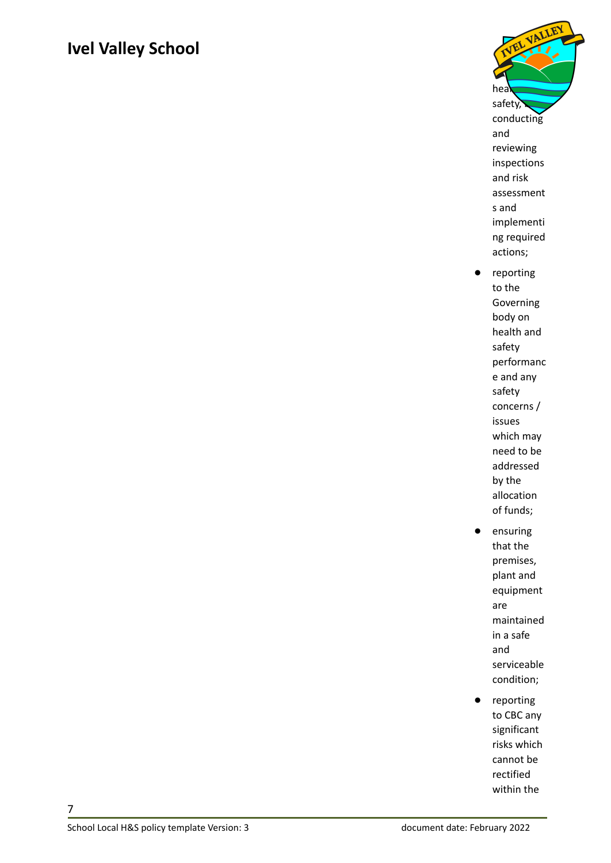

- reporting to the Governing body on health and safety performanc e and any safety concerns / issues which may need to be addressed by the allocation of funds;
- ensuring that the premises, plant and equipment are maintained in a safe and serviceable condition;
- reporting to CBC any significant risks which cannot be rectified within the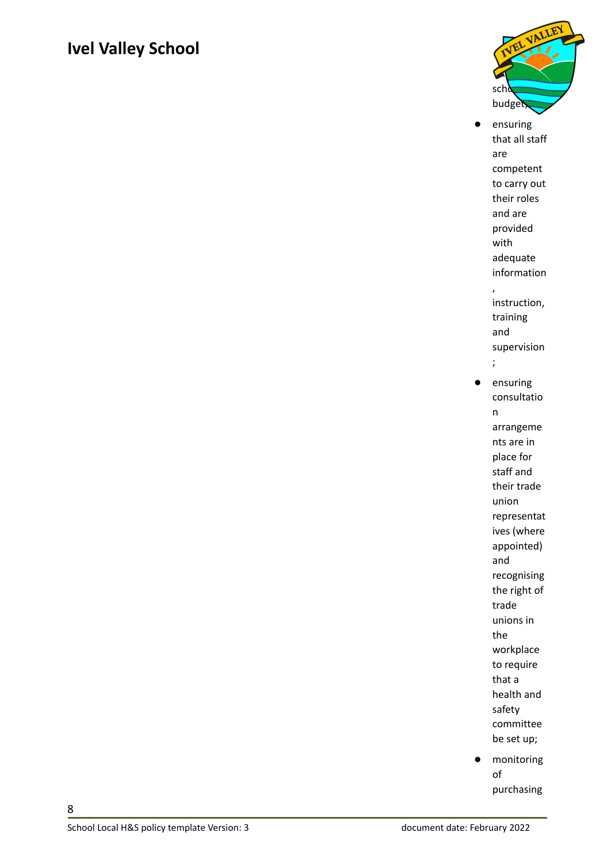

● ensuring that all staff are competent to carry out their roles and are provided with adequate information , instruction, training and supervision ; ensuring consultatio

n arrangeme nts are in place for staff and their trade union representat ives (where appointed) and recognising the right of trade unions in the workplace to require that a health and safety committee be set up;

● monitoring of purchasing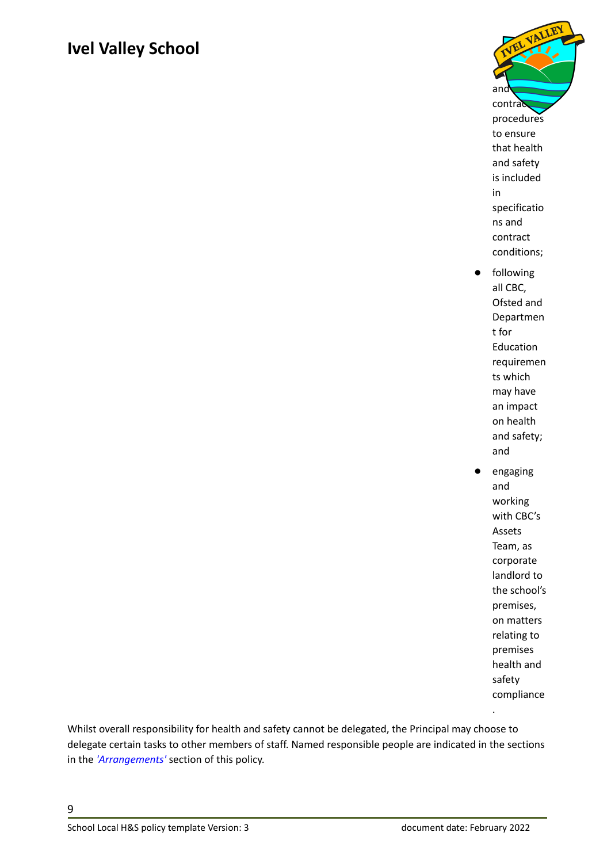

- Ofsted and Departmen t for Education requiremen ts which may have an impact on health and safety; and
- engaging and working with CBC's Assets Team, as corporate landlord to the school's premises, on matters relating to premises health and safety compliance .

Whilst overall responsibility for health and safety cannot be delegated, the Principal may choose to delegate certain tasks to other members of staff. Named responsible people are indicated in the sections in the *['Arrangements'](#page-17-0)* section of this policy.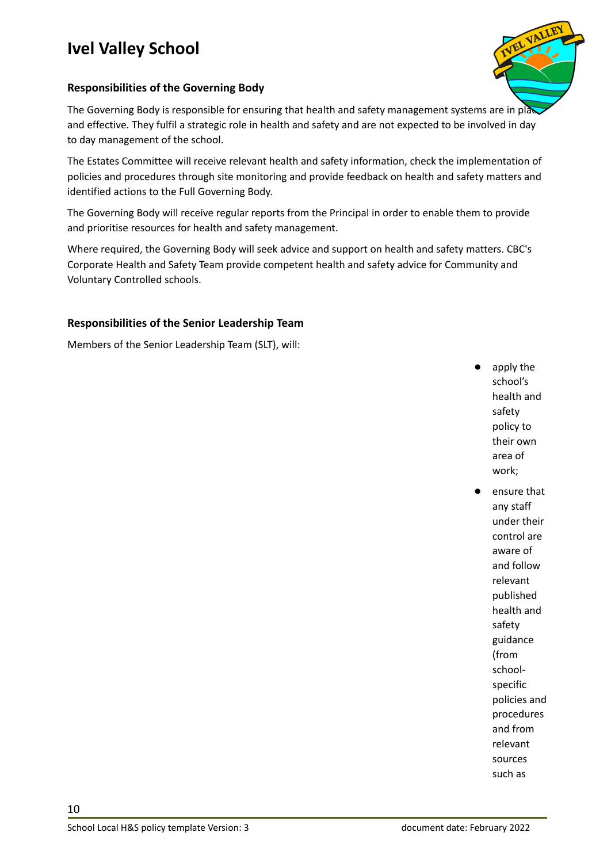

#### <span id="page-9-0"></span>**Responsibilities of the Governing Body**

The Governing Body is responsible for ensuring that health and safety management systems are in place and effective. They fulfil a strategic role in health and safety and are not expected to be involved in day to day management of the school.

The Estates Committee will receive relevant health and safety information, check the implementation of policies and procedures through site monitoring and provide feedback on health and safety matters and identified actions to the Full Governing Body.

The Governing Body will receive regular reports from the Principal in order to enable them to provide and prioritise resources for health and safety management.

Where required, the Governing Body will seek advice and support on health and safety matters. CBC's Corporate Health and Safety Team provide competent health and safety advice for Community and Voluntary Controlled schools.

#### <span id="page-9-1"></span>**Responsibilities of the Senior Leadership Team**

Members of the Senior Leadership Team (SLT), will:

- apply the school's health and safety policy to their own area of work;
- ensure that any staff under their control are aware of and follow relevant published health and safety guidance (from schoolspecific policies and procedures and from relevant sources such as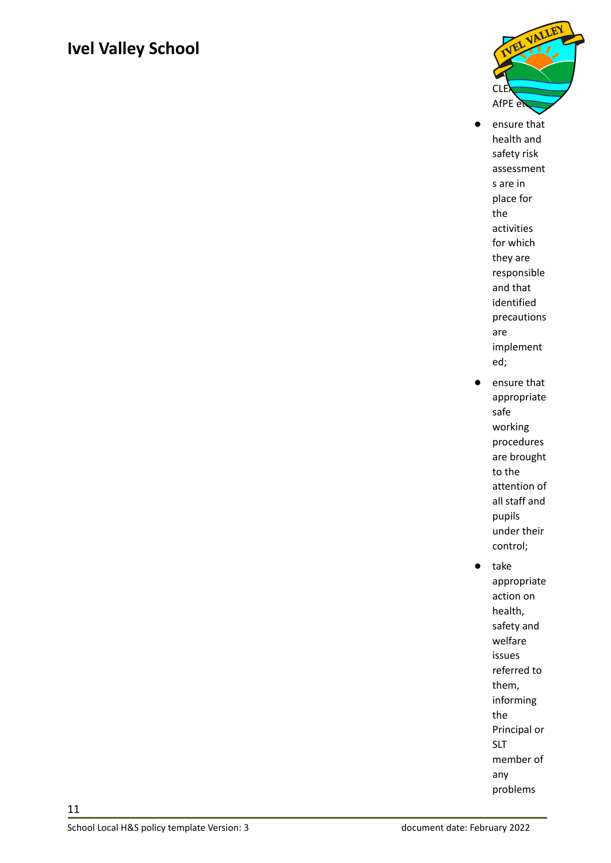

- ensure that health and safety risk assessment s are in place for the activities for which they are responsible and that identified precautions are implement ed;
- ensure that appropriate safe working procedures are brought to the attention of all staff and pupils under their control;
- take appropriate action on health, safety and welfare issues referred to them, informing the Principal or SLT member of any problems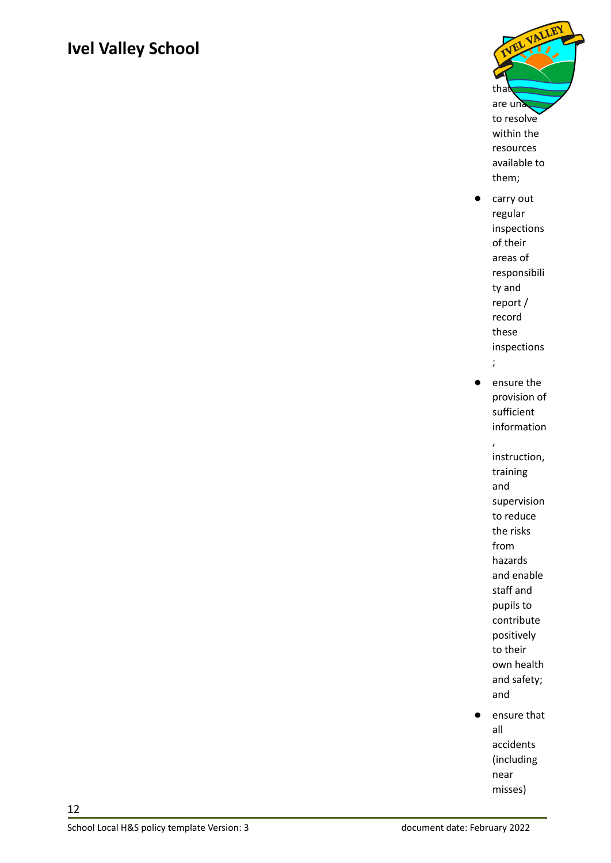

- carry out regular inspections of their areas of responsibili ty and report / record these inspections
	- ;
- ensure the provision of sufficient information

, instruction, training and supervision to reduce the risks from hazards and enable staff and pupils to contribute positively to their own health and safety; and

● ensure that all accidents (including near misses)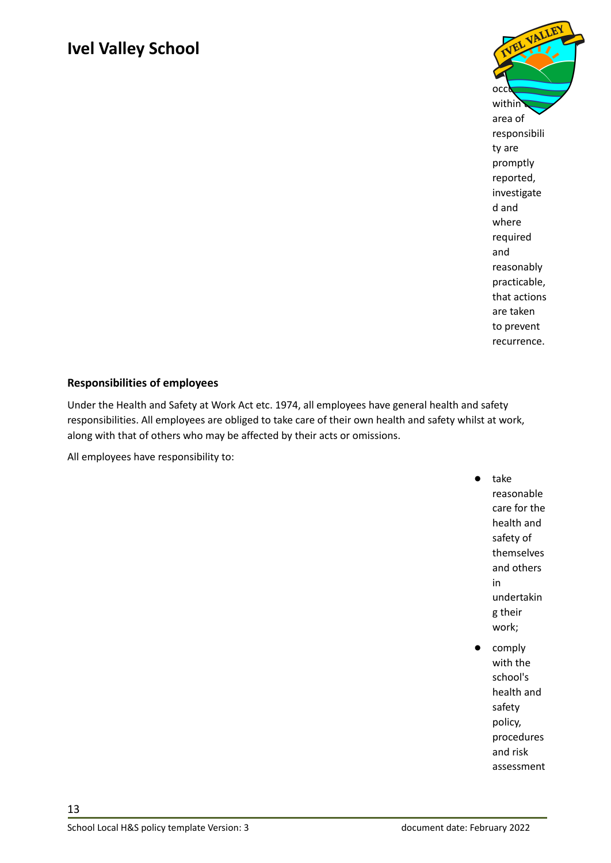

#### <span id="page-12-0"></span>**Responsibilities of employees**

Under the Health and Safety at Work Act etc. 1974, all employees have general health and safety responsibilities. All employees are obliged to take care of their own health and safety whilst at work, along with that of others who may be affected by their acts or omissions.

All employees have responsibility to:

● take reasonable care for the health and safety of themselves and others in undertakin g their work;

comply with the school's health and safety policy, procedures and risk assessment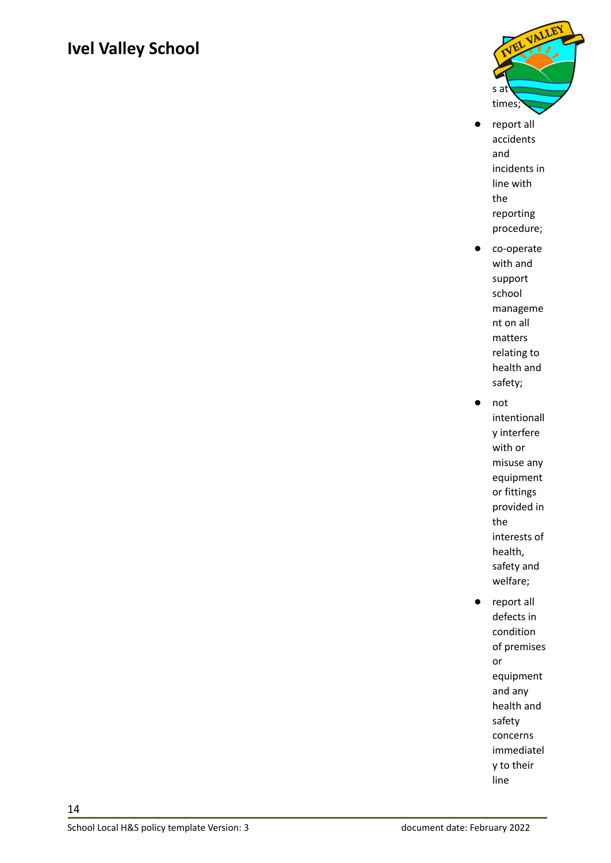

- report all accidents and incidents in line with the reporting procedure;
- co-operate with and support school manageme nt on all matters relating to health and safety;
- not intentionall y interfere with or misuse any equipment or fittings provided in the interests of health, safety and welfare;
- report all defects in condition of premises or equipment and any health and safety concerns immediatel y to their line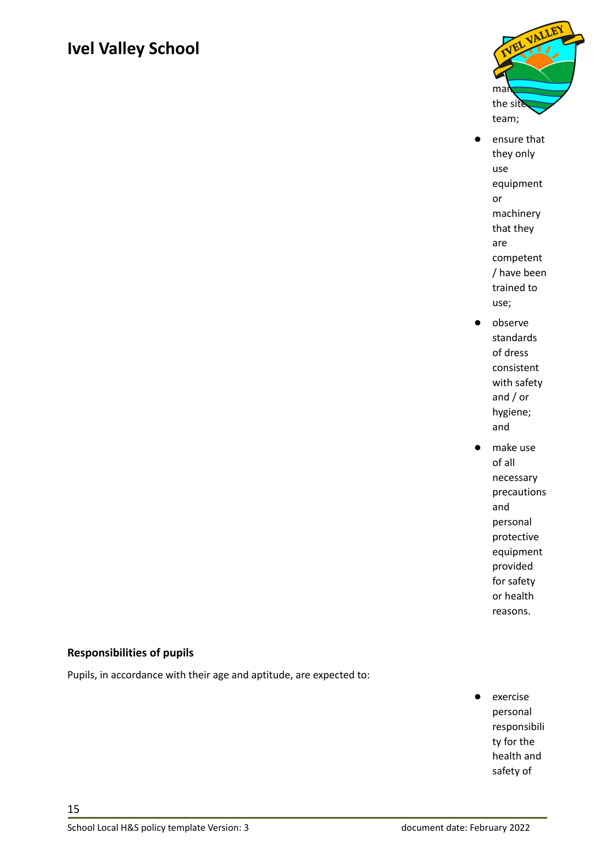

- ensure that they only use equipment or machinery that they are competent / have been trained to use;
- observe standards of dress consistent with safety and / or hygiene; and
- make use of all necessary precautions and personal protective equipment provided for safety or health reasons.

#### <span id="page-14-0"></span>**Responsibilities of pupils**

Pupils, in accordance with their age and aptitude, are expected to:

exercise personal responsibili ty for the health and safety of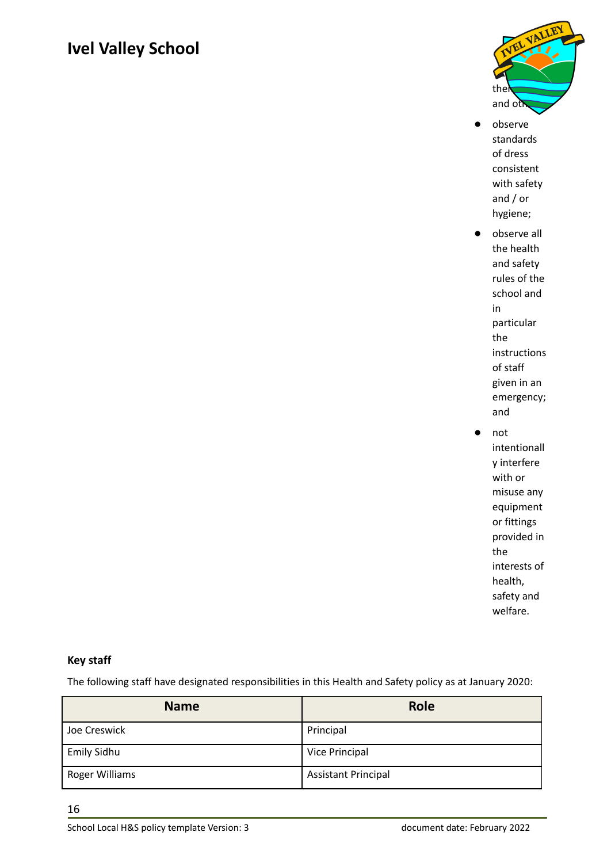

- observe standards of dress consistent with safety and / or hygiene;
- observe all the health and safety rules of the school and in particular the instructions of staff given in an emergency; and
	- not intentionall y interfere with or misuse any equipment or fittings provided in the interests of health, safety and welfare.

#### <span id="page-15-0"></span>**Key staff**

The following staff have designated responsibilities in this Health and Safety policy as at January 2020:

| <b>Name</b>        | <b>Role</b>                |
|--------------------|----------------------------|
| Joe Creswick       | Principal                  |
| <b>Emily Sidhu</b> | Vice Principal             |
| Roger Williams     | <b>Assistant Principal</b> |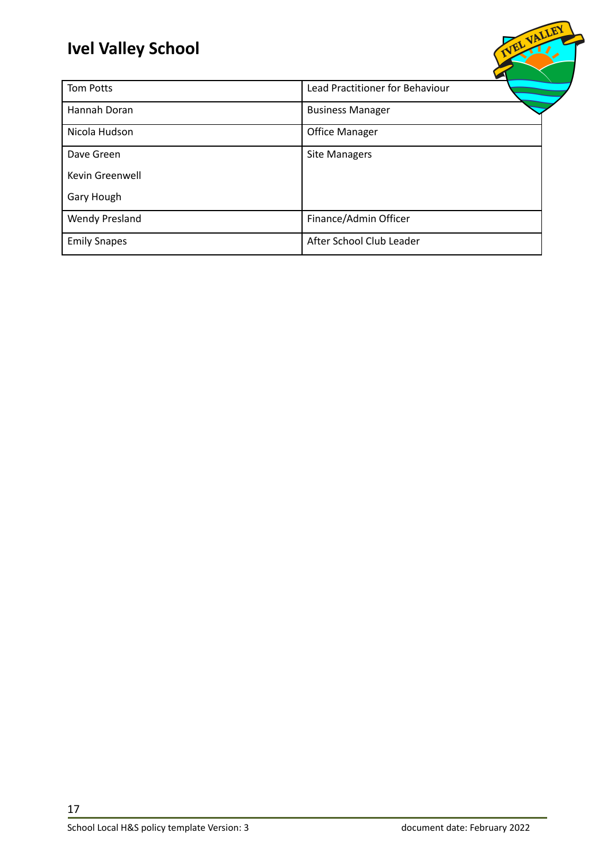| <b>Tom Potts</b>       | Lead Practitioner for Behaviour |
|------------------------|---------------------------------|
| Hannah Doran           | <b>Business Manager</b>         |
| Nicola Hudson          | <b>Office Manager</b>           |
| Dave Green             | <b>Site Managers</b>            |
| <b>Kevin Greenwell</b> |                                 |
| Gary Hough             |                                 |
| <b>Wendy Presland</b>  | Finance/Admin Officer           |
| <b>Emily Snapes</b>    | After School Club Leader        |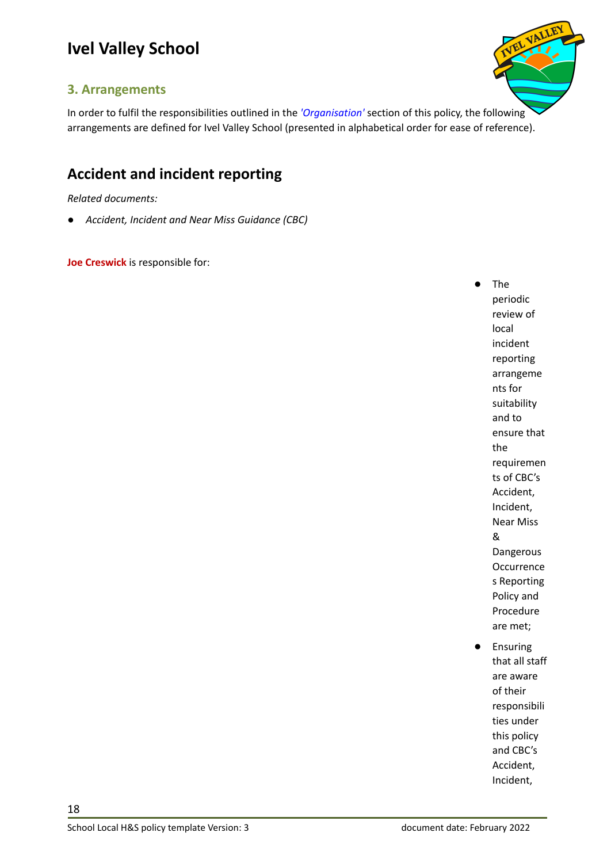

#### <span id="page-17-0"></span>**3. Arrangements**

In order to fulfil the responsibilities outlined in the *['Organisation'](#page-4-0)* section of this policy, the following arrangements are defined for Ivel Valley School (presented in alphabetical order for ease of reference).

#### <span id="page-17-1"></span>**Accident and incident reporting**

*Related documents:*

*● Accident, Incident and Near Miss Guidance (CBC)*

**Joe Creswick** is responsible for:

**The** periodic review of local incident reporting arrangeme nts for suitability and to ensure that the requiremen ts of CBC's Accident, Incident, Near Miss & Dangerous **Occurrence** s Reporting Policy and Procedure are met;

**Ensuring** that all staff are aware of their responsibili ties under this policy and CBC's Accident, Incident,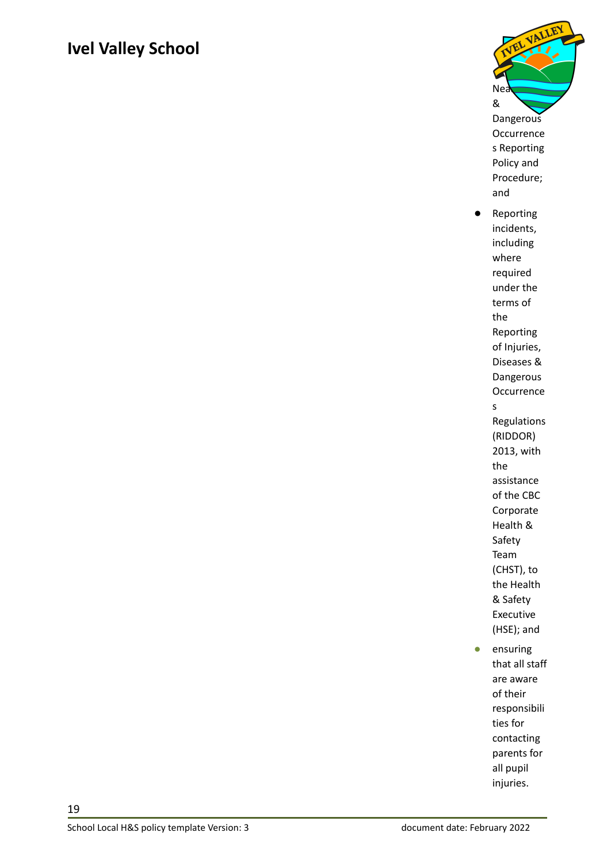

**Occurrence** s Reporting Policy and Procedure; and

- Reporting incidents, including where required under the terms of the Reporting of Injuries, Diseases & Dangerous **Occurrence** s Regulations (RIDDOR) 2013, with the assistance of the CBC Corporate Health & Safety Team (CHST), to the Health & Safety Executive (HSE); and
- ensuring that all staff are aware of their responsibili ties for contacting parents for all pupil injuries.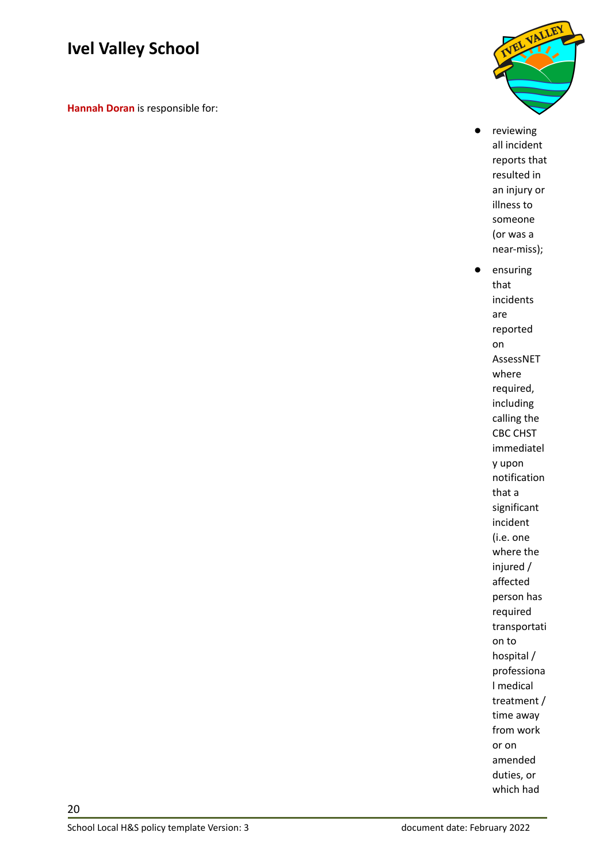**Hannah Doran** is responsible for:



● reviewing all incident reports that resulted in an injury or illness to someone (or was a near-miss);

● ensuring that incidents are reported on AssessNET where required, including calling the CBC CHST immediatel y upon notification that a significant incident (i.e. one where the injured / affected person has required transportati on to hospital / professiona l medical treatment / time away from work or on amended duties, or which had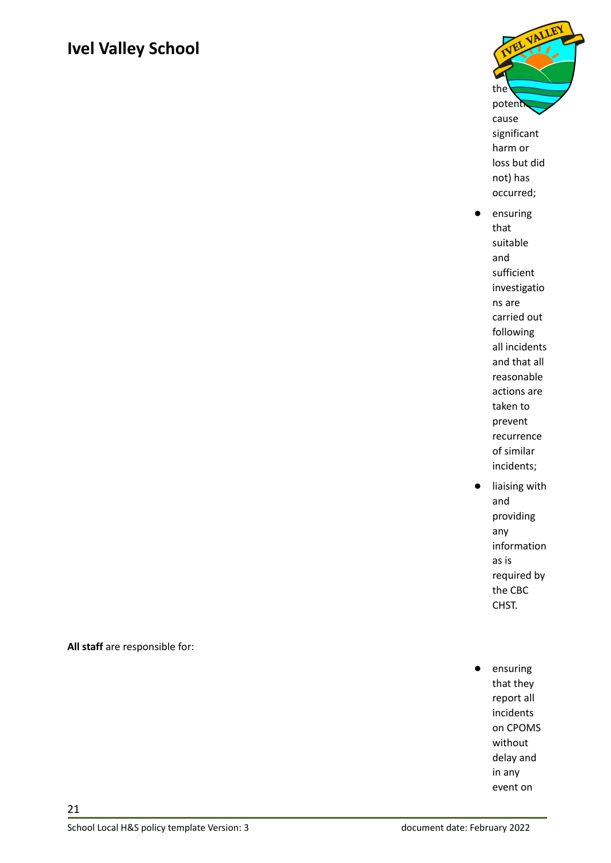

- ensuring that suitable and sufficient investigatio ns are carried out following all incidents and that all reasonable actions are taken to prevent recurrence of similar incidents;
- liaising with and providing any information as is required by the CBC CHST.
- ensuring that they report all incidents on CPOMS without delay and in any event on

**All staff** are responsible for: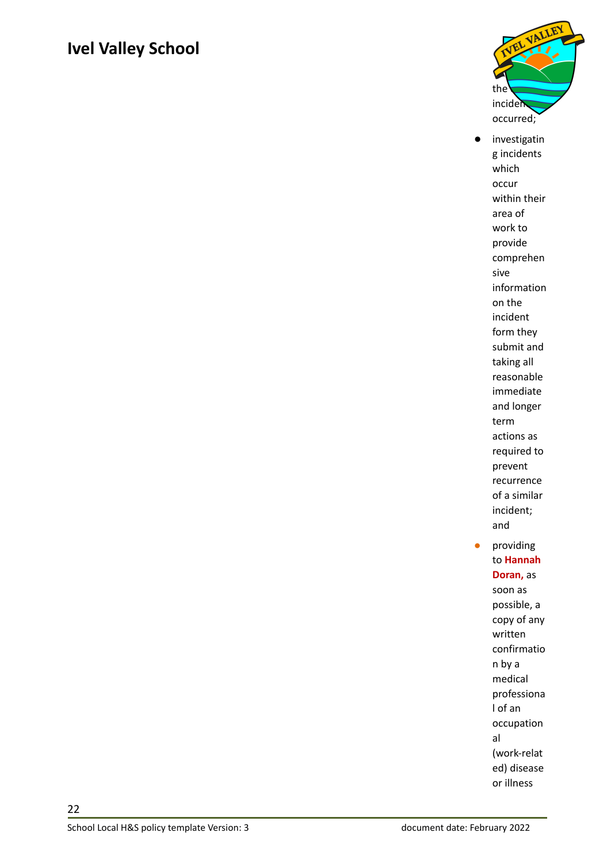

investigatin g incidents which occur within their area of work to provide comprehen sive information on the incident form they submit and taking all reasonable immediate and longer term actions as required to prevent recurrence of a similar incident; and ● providing to **Hannah Doran,** as soon as possible, a copy of any written

(work-relat ed) disease or illness

al

confirmatio n by a medical professiona l of an occupation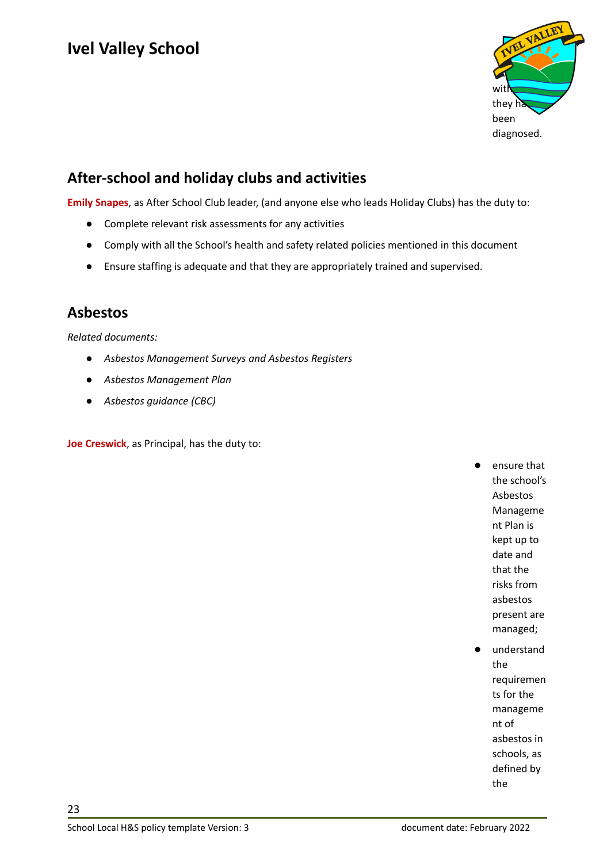

#### <span id="page-22-0"></span>**After-school and holiday clubs and activities**

**Emily Snapes**, as After School Club leader, (and anyone else who leads Holiday Clubs) has the duty to:

- Complete relevant risk assessments for any activities
- Comply with all the School's health and safety related policies mentioned in this document
- Ensure staffing is adequate and that they are appropriately trained and supervised.

#### <span id="page-22-1"></span>**Asbestos**

*Related documents:*

- *● Asbestos Management Surveys and Asbestos Registers*
- *● Asbestos Management Plan*
- *● Asbestos guidance (CBC)*

**Joe Creswick**, as Principal, has the duty to:

ensure that the school's Asbestos Manageme nt Plan is kept up to date and that the risks from asbestos present are managed;

understand the requiremen ts for the manageme nt of asbestos in schools, as defined by the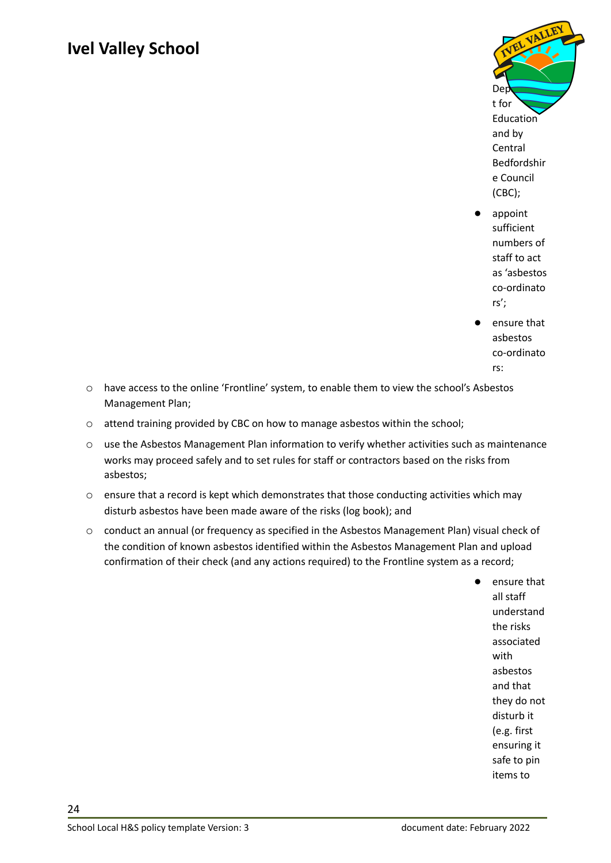

- appoint sufficient numbers of staff to act as 'asbestos co-ordinato rs';
- ensure that asbestos co-ordinato rs:
- o have access to the online 'Frontline' system, to enable them to view the school's Asbestos Management Plan;
- o attend training provided by CBC on how to manage asbestos within the school;
- o use the Asbestos Management Plan information to verify whether activities such as maintenance works may proceed safely and to set rules for staff or contractors based on the risks from asbestos;
- o ensure that a record is kept which demonstrates that those conducting activities which may disturb asbestos have been made aware of the risks (log book); and
- o conduct an annual (or frequency as specified in the Asbestos Management Plan) visual check of the condition of known asbestos identified within the Asbestos Management Plan and upload confirmation of their check (and any actions required) to the Frontline system as a record;

ensure that all staff understand the risks associated with asbestos and that they do not disturb it (e.g. first ensuring it safe to pin items to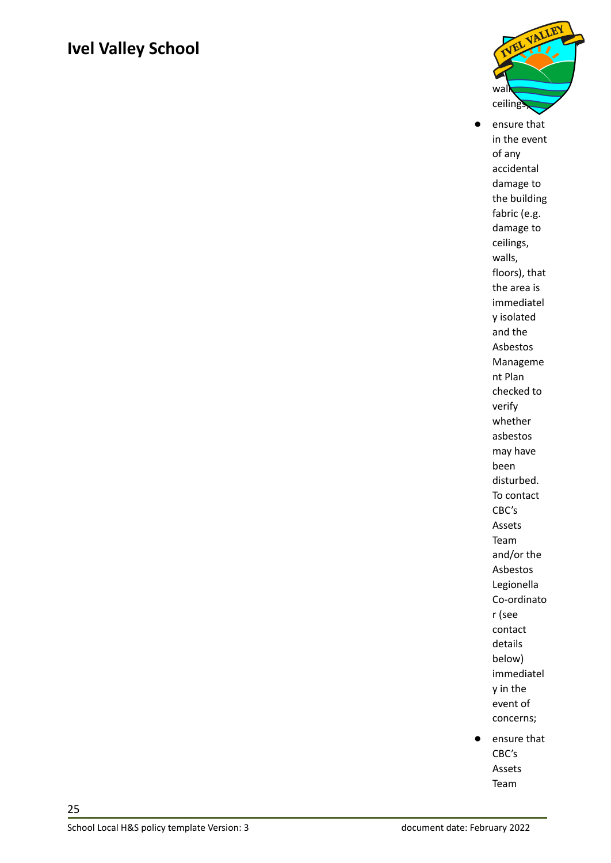

● ensure that in the event of any accidental damage to the building fabric (e.g. damage to ceilings, walls, floors), that the area is immediatel y isolated and the Asbestos Manageme nt Plan checked to verify whether asbestos may have been disturbed. To contact CBC's Assets Team and/or the Asbestos Legionella Co-ordinato r (see contact details below) immediatel y in the event of concerns;

● ensure that CBC's Assets Team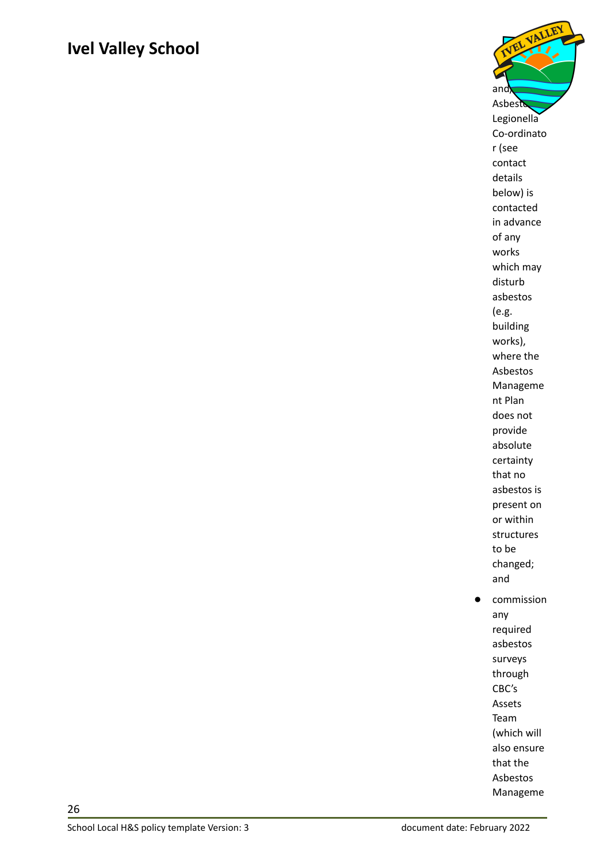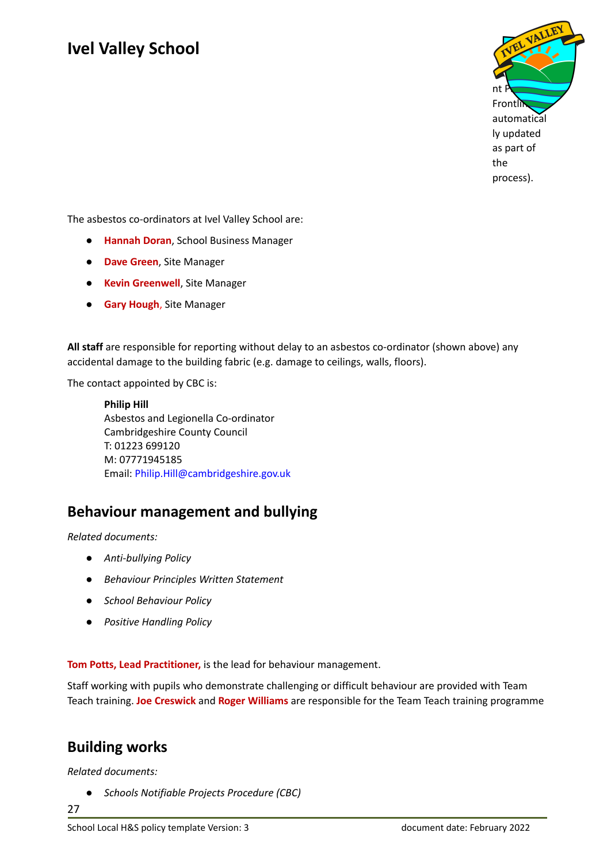

The asbestos co-ordinators at Ivel Valley School are:

- **Hannah Doran**, School Business Manager
- **Dave Green**, Site Manager
- **Kevin Greenwell**, Site Manager
- **Gary Hough**, Site Manager

**All staff** are responsible for reporting without delay to an asbestos co-ordinator (shown above) any accidental damage to the building fabric (e.g. damage to ceilings, walls, floors).

The contact appointed by CBC is:

**Philip Hill** Asbestos and Legionella Co-ordinator Cambridgeshire County Council T: 01223 699120 M: 07771945185 Email: [Philip.Hill@cambridgeshire.gov.uk](mailto:Philip.Hill@cambridgeshire.gov.uk)

#### <span id="page-26-0"></span>**Behaviour management and bullying**

*Related documents:*

- *● Anti-bullying Policy*
- *● Behaviour Principles Written Statement*
- *● School Behaviour Policy*
- *● Positive Handling Policy*

**Tom Potts, Lead Practitioner,** is the lead for behaviour management.

Staff working with pupils who demonstrate challenging or difficult behaviour are provided with Team Teach training. **Joe Creswick** and **Roger Williams** are responsible for the Team Teach training programme

#### <span id="page-26-1"></span>**Building works**

*Related documents:*

*● Schools Notifiable Projects Procedure (CBC)*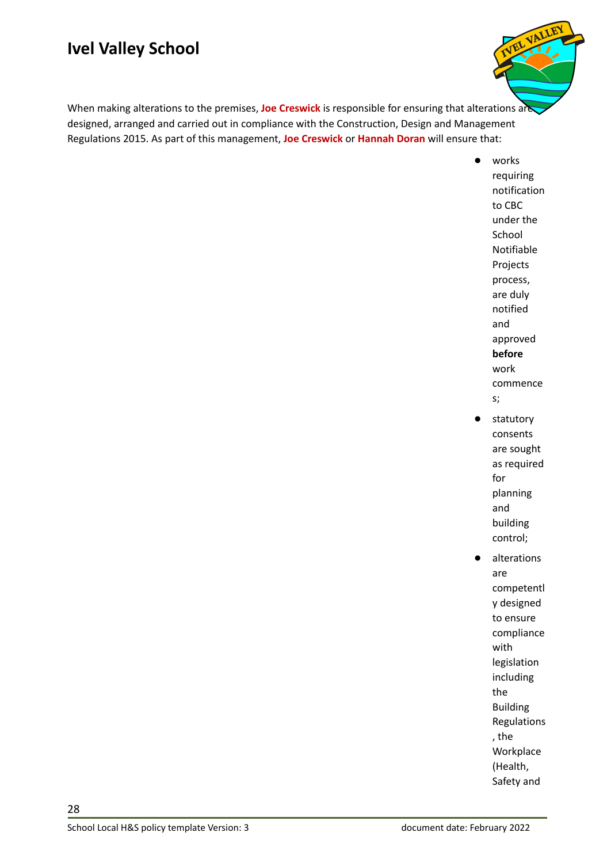

When making alterations to the premises, **Joe Creswick** is responsible for ensuring that alterations are designed, arranged and carried out in compliance with the Construction, Design and Management Regulations 2015. As part of this management, **Joe Creswick** or **Hannah Doran** will ensure that:

> ● works requiring notification to CBC under the School Notifiable Projects process, are duly notified and approved **before** work commence s; statutory

- consents are sought as required for planning and building control;
- alterations are competentl y designed to ensure compliance with legislation including the Building Regulations , the Workplace (Health, Safety and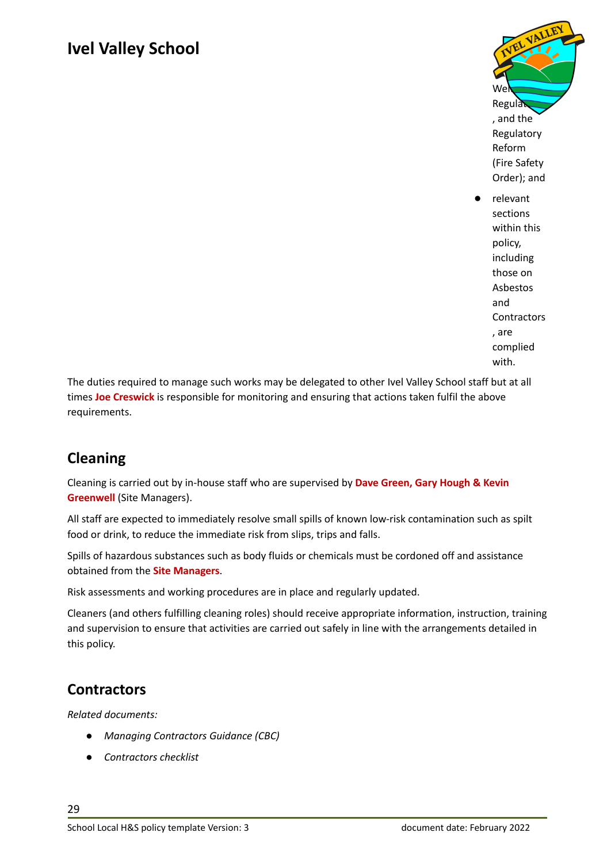

relevant sections within this policy, including those on Asbestos and **Contractors** , are complied with.

The duties required to manage such works may be delegated to other Ivel Valley School staff but at all times **Joe Creswick** is responsible for monitoring and ensuring that actions taken fulfil the above requirements.

#### <span id="page-28-0"></span>**Cleaning**

Cleaning is carried out by in-house staff who are supervised by **Dave Green, Gary Hough & Kevin Greenwell** (Site Managers).

All staff are expected to immediately resolve small spills of known low-risk contamination such as spilt food or drink, to reduce the immediate risk from slips, trips and falls.

Spills of hazardous substances such as body fluids or chemicals must be cordoned off and assistance obtained from the **Site Managers**.

Risk assessments and working procedures are in place and regularly updated.

Cleaners (and others fulfilling cleaning roles) should receive appropriate information, instruction, training and supervision to ensure that activities are carried out safely in line with the arrangements detailed in this policy.

#### <span id="page-28-1"></span>**Contractors**

*Related documents:*

- *● Managing Contractors Guidance (CBC)*
- *● Contractors checklist*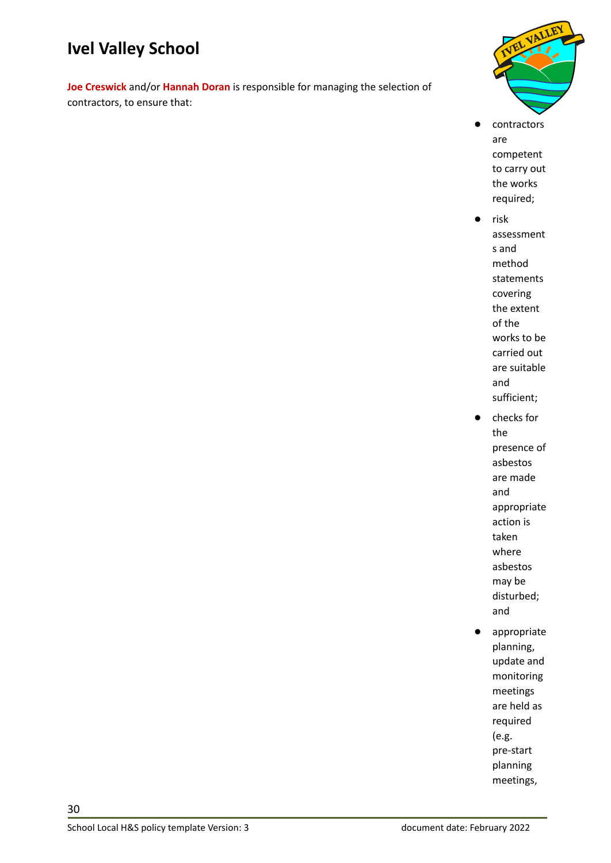**Joe Creswick** and/or **Hannah Doran** is responsible for managing the selection of contractors, to ensure that:



- contractors are competent to carry out the works required;
	- risk assessment s and method statements covering the extent of the works to be carried out are suitable and sufficient;
- checks for the presence of asbestos are made and appropriate action is taken where asbestos may be disturbed; and
- appropriate planning, update and monitoring meetings are held as required (e.g. pre-start planning meetings,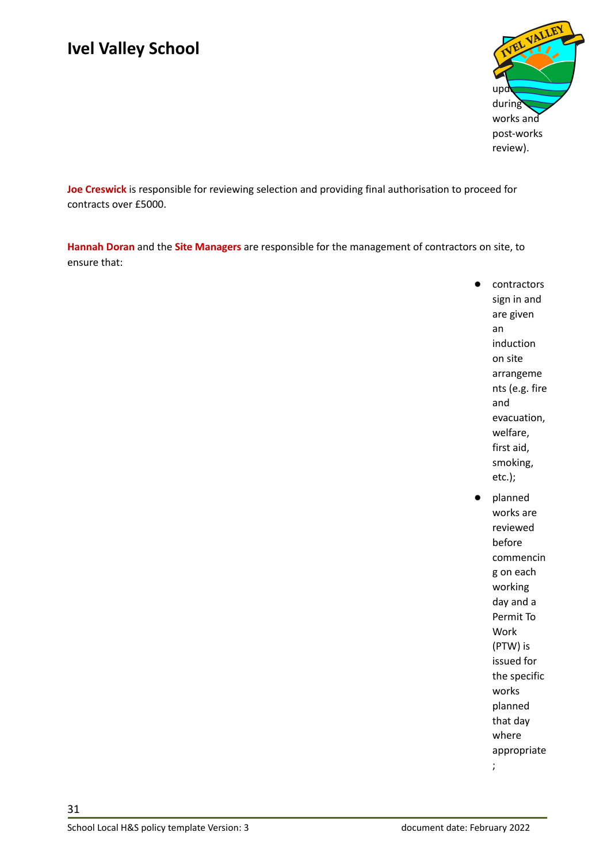

**Joe Creswick** is responsible for reviewing selection and providing final authorisation to proceed for contracts over £5000.

**Hannah Doran** and the **Site Managers** are responsible for the management of contractors on site, to ensure that:

- contractors sign in and are given an induction on site arrangeme nts (e.g. fire and evacuation, welfare, first aid, smoking, etc.); planned works are reviewed before
	- commencin g on each working day and a Permit To Work (PTW) is issued for the specific works planned that day where appropriate

;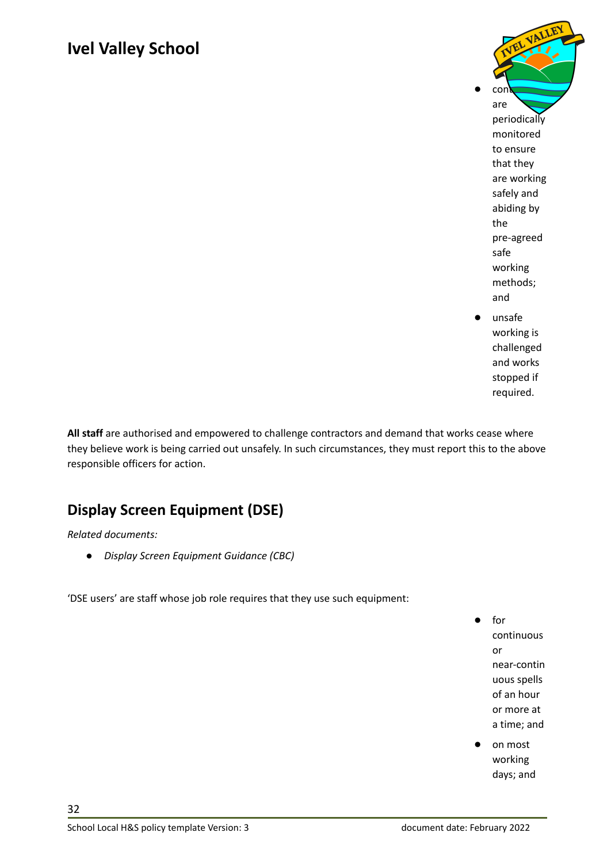

required.

**All staff** are authorised and empowered to challenge contractors and demand that works cease where they believe work is being carried out unsafely. In such circumstances, they must report this to the above responsible officers for action.

#### <span id="page-31-0"></span>**Display Screen Equipment (DSE)**

*Related documents:*

*● Display Screen Equipment Guidance (CBC)*

'DSE users' are staff whose job role requires that they use such equipment:

● for continuous or near-contin uous spells of an hour or more at a time; and

on most working days; and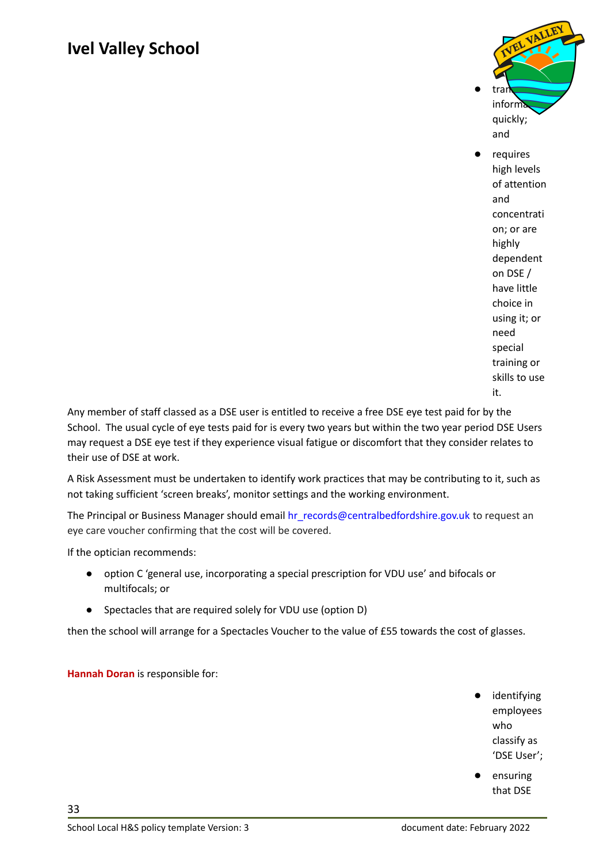

requires high levels of attention and concentrati on; or are highly dependent on DSE / have little choice in using it; or need special training or skills to use it.

Any member of staff classed as a DSE user is entitled to receive a free DSE eye test paid for by the School. The usual cycle of eye tests paid for is every two years but within the two year period DSE Users may request a DSE eye test if they experience visual fatigue or discomfort that they consider relates to their use of DSE at work.

A Risk Assessment must be undertaken to identify work practices that may be contributing to it, such as not taking sufficient 'screen breaks', monitor settings and the working environment.

The Principal or Business Manager should email [hr\\_records@centralbedfordshire.gov.uk](mailto:hr_records@centralbedfordshire.gov.uk) to request an eye care voucher confirming that the cost will be covered.

If the optician recommends:

- option C 'general use, incorporating a special prescription for VDU use' and bifocals or multifocals; or
- Spectacles that are required solely for VDU use (option D)

then the school will arrange for a Spectacles Voucher to the value of £55 towards the cost of glasses.

#### **Hannah Doran** is responsible for:

- identifying employees who classify as 'DSE User';
- ensuring that DSE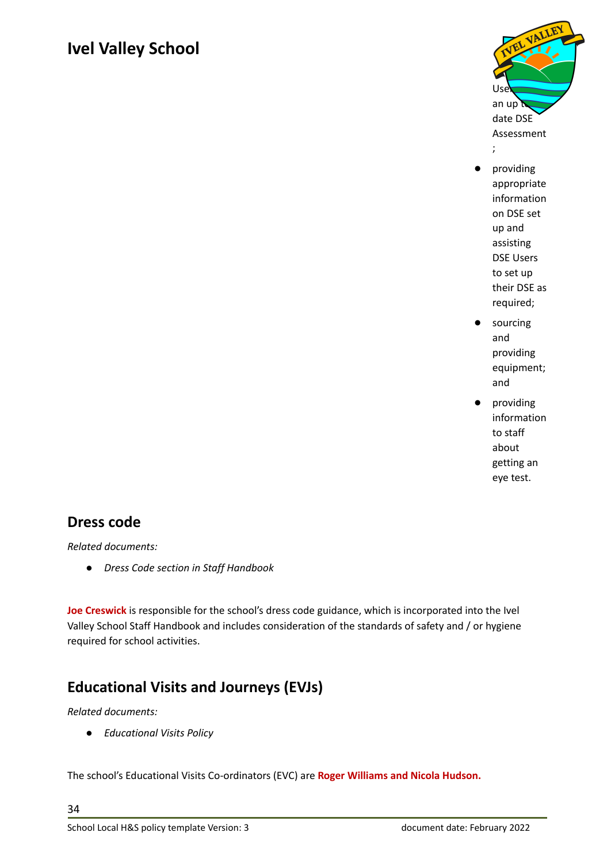

- providing appropriate information on DSE set up and assisting DSE Users to set up their DSE as required;
- sourcing and providing equipment; and
- providing information to staff about getting an eye test.

#### <span id="page-33-0"></span>**Dress code**

*Related documents:*

*● Dress Code section in Staff Handbook*

**Joe Creswick** is responsible for the school's dress code guidance, which is incorporated into the Ivel Valley School Staff Handbook and includes consideration of the standards of safety and / or hygiene required for school activities.

#### <span id="page-33-1"></span>**Educational Visits and Journeys (EVJs)**

#### *Related documents:*

*● Educational Visits Policy*

The school's Educational Visits Co-ordinators (EVC) are **Roger Williams and Nicola Hudson.**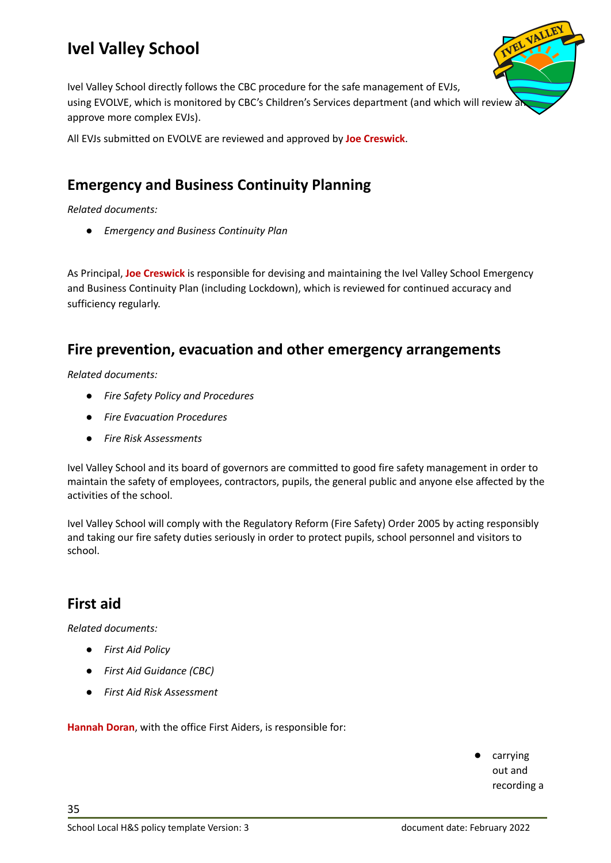

Ivel Valley School directly follows the CBC procedure for the safe management of EVJs, using EVOLVE, which is monitored by CBC's Children's Services department (and which will review a approve more complex EVJs).

All EVJs submitted on EVOLVE are reviewed and approved by **Joe Creswick**.

#### <span id="page-34-0"></span>**Emergency and Business Continuity Planning**

*Related documents:*

*● Emergency and Business Continuity Plan*

As Principal, **Joe Creswick** is responsible for devising and maintaining the Ivel Valley School Emergency and Business Continuity Plan (including Lockdown), which is reviewed for continued accuracy and sufficiency regularly.

#### <span id="page-34-1"></span>**Fire prevention, evacuation and other emergency arrangements**

*Related documents:*

- *● Fire Safety Policy and Procedures*
- *● Fire Evacuation Procedures*
- *● Fire Risk Assessments*

Ivel Valley School and its board of governors are committed to good fire safety management in order to maintain the safety of employees, contractors, pupils, the general public and anyone else affected by the activities of the school.

Ivel Valley School will comply with the Regulatory Reform (Fire Safety) Order 2005 by acting responsibly and taking our fire safety duties seriously in order to protect pupils, school personnel and visitors to school.

#### <span id="page-34-2"></span>**First aid**

35

*Related documents:*

- *● First Aid Policy*
- *● First Aid Guidance (CBC)*
- *● First Aid Risk Assessment*

**Hannah Doran**, with the office First Aiders, is responsible for:

carrying out and recording a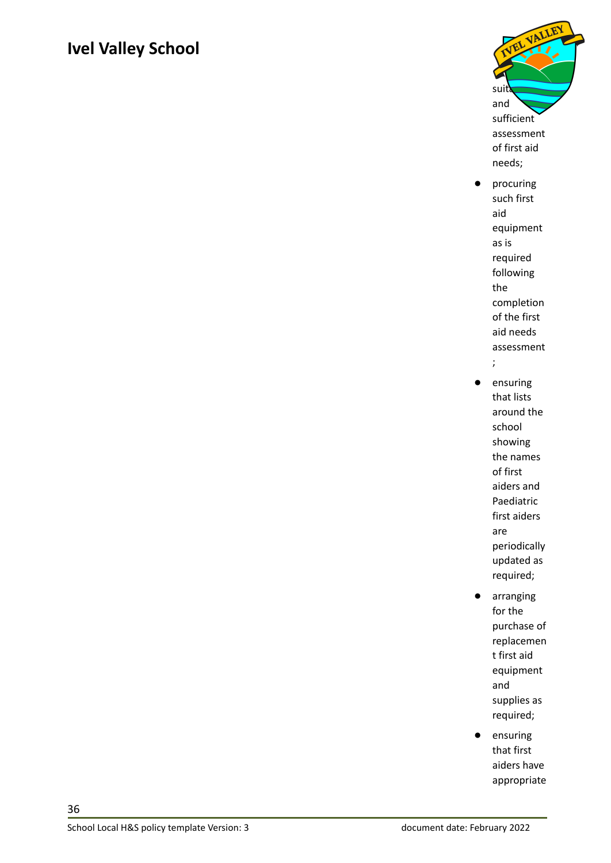

- procuring such first aid equipment as is required following the completion of the first aid needs assessment ;
- ensuring that lists around the school showing the names of first aiders and Paediatric first aiders are periodically updated as required;
- arranging for the purchase of replacemen t first aid equipment and supplies as required;
- ensuring that first aiders have appropriate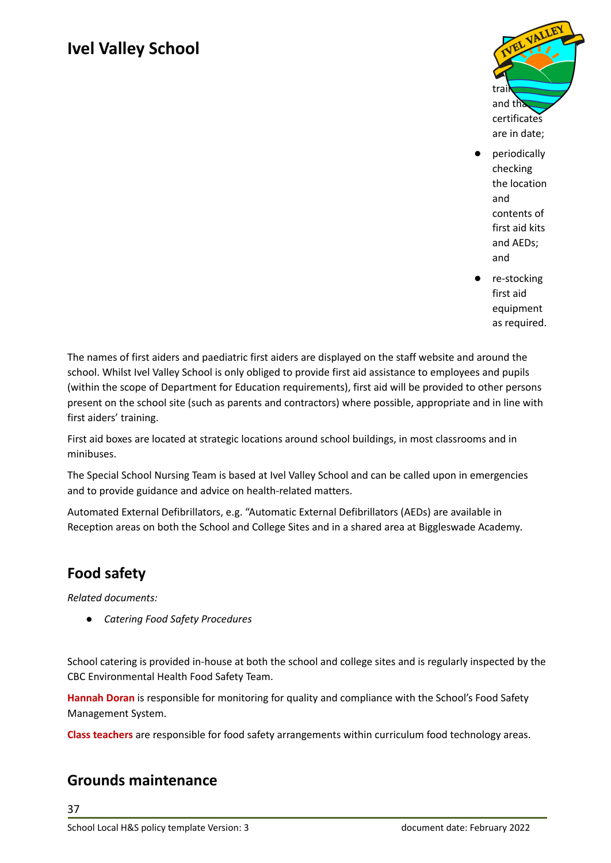

- periodically checking the location and contents of first aid kits and AEDs; and
- re-stocking first aid equipment as required.

The names of first aiders and paediatric first aiders are displayed on the staff website and around the school. Whilst Ivel Valley School is only obliged to provide first aid assistance to employees and pupils (within the scope of Department for Education requirements), first aid will be provided to other persons present on the school site (such as parents and contractors) where possible, appropriate and in line with first aiders' training.

First aid boxes are located at strategic locations around school buildings, in most classrooms and in minibuses.

The Special School Nursing Team is based at Ivel Valley School and can be called upon in emergencies and to provide guidance and advice on health-related matters.

Automated External Defibrillators, e.g. "Automatic External Defibrillators (AEDs) are available in Reception areas on both the School and College Sites and in a shared area at Biggleswade Academy*.*

#### <span id="page-36-0"></span>**Food safety**

*Related documents:*

*● Catering Food Safety Procedures*

School catering is provided in-house at both the school and college sites and is regularly inspected by the CBC Environmental Health Food Safety Team.

**Hannah Doran** is responsible for monitoring for quality and compliance with the School's Food Safety Management System.

**Class teachers** are responsible for food safety arrangements within curriculum food technology areas.

#### <span id="page-36-1"></span>**Grounds maintenance**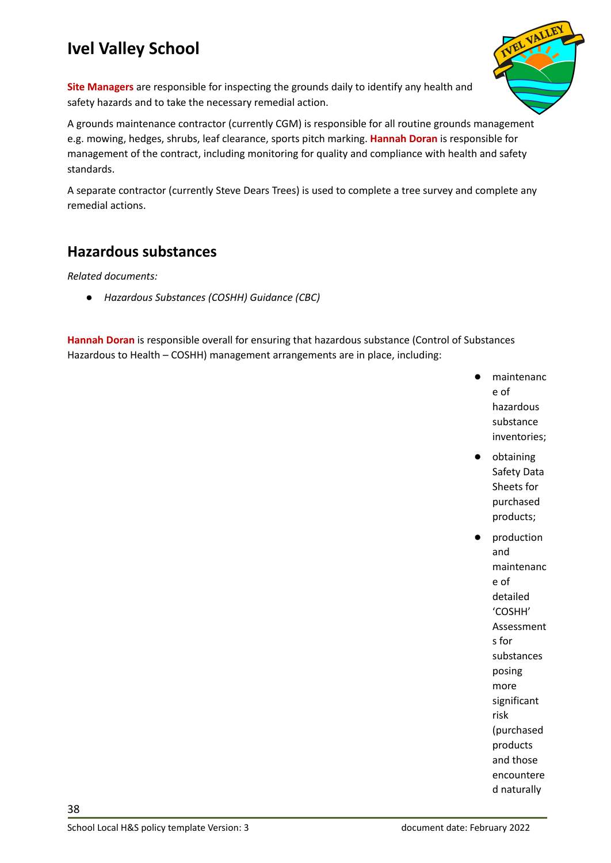

**Site Managers** are responsible for inspecting the grounds daily to identify any health and safety hazards and to take the necessary remedial action.

A grounds maintenance contractor (currently CGM) is responsible for all routine grounds management e.g. mowing, hedges, shrubs, leaf clearance, sports pitch marking. **Hannah Doran** is responsible for management of the contract, including monitoring for quality and compliance with health and safety standards.

A separate contractor (currently Steve Dears Trees) is used to complete a tree survey and complete any remedial actions.

#### <span id="page-37-0"></span>**Hazardous substances**

*Related documents:*

*● Hazardous Substances (COSHH) Guidance (CBC)*

**Hannah Doran** is responsible overall for ensuring that hazardous substance (Control of Substances Hazardous to Health – COSHH) management arrangements are in place, including:

- maintenanc e of hazardous substance inventories;
- obtaining Safety Data Sheets for purchased products;
	- production and maintenanc e of detailed 'COSHH' Assessment s for substances posing more significant risk (purchased products and those encountere d naturally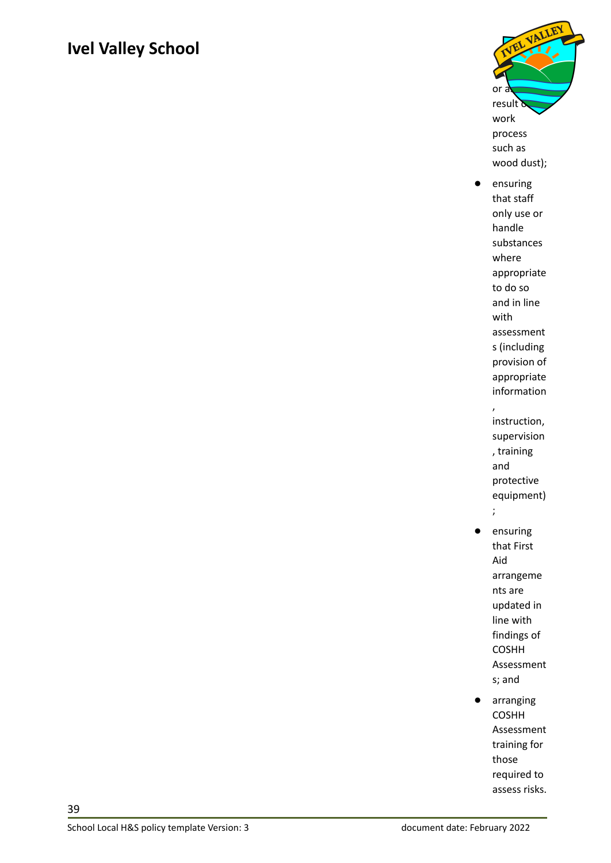

- ensuring that staff only use or handle substances where appropriate to do so and in line with assessment s (including provision of appropriate information , instruction, supervision , training and protective equipment) ; ● ensuring that First Aid arrangeme nts are updated in line with findings of COSHH Assessment s; and
- arranging COSHH Assessment training for those required to assess risks.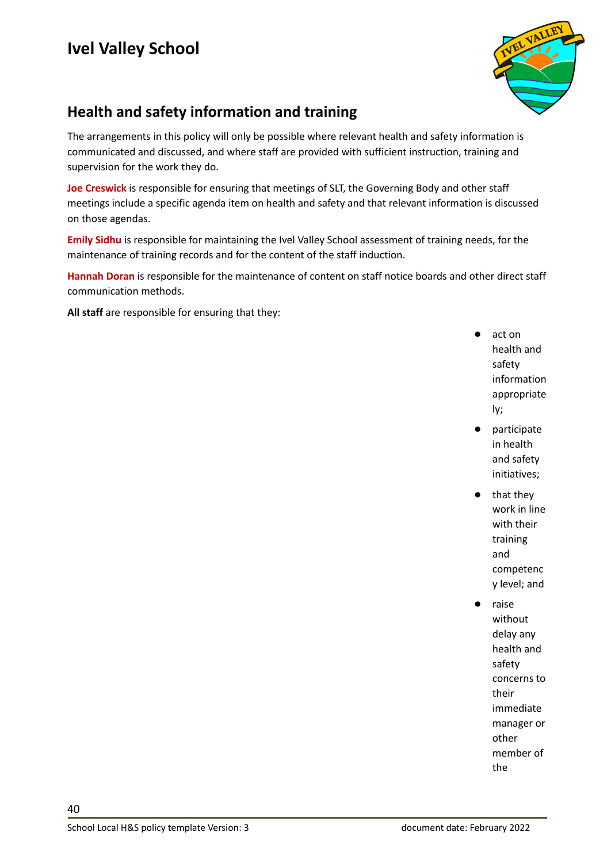

#### <span id="page-39-0"></span>**Health and safety information and training**

The arrangements in this policy will only be possible where relevant health and safety information is communicated and discussed, and where staff are provided with sufficient instruction, training and supervision for the work they do.

**Joe Creswick** is responsible for ensuring that meetings of SLT, the Governing Body and other staff meetings include a specific agenda item on health and safety and that relevant information is discussed on those agendas.

**Emily Sidhu** is responsible for maintaining the Ivel Valley School assessment of training needs, for the maintenance of training records and for the content of the staff induction.

**Hannah Doran** is responsible for the maintenance of content on staff notice boards and other direct staff communication methods.

**All staff** are responsible for ensuring that they:

- act on health and safety information appropriate ly;
- participate in health and safety initiatives;
- that they work in line with their training and competenc y level; and
	- raise without delay any health and safety concerns to their immediate manager or other member of the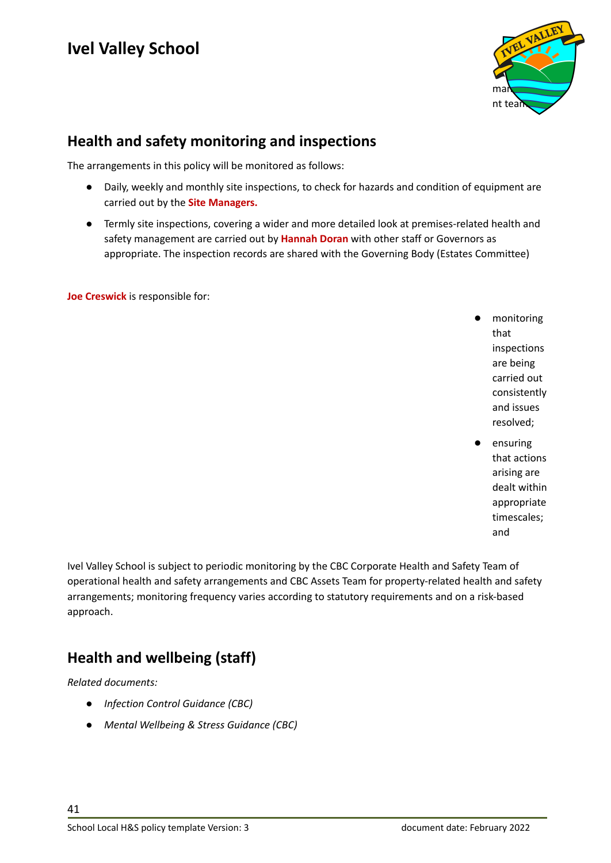

#### <span id="page-40-0"></span>**Health and safety monitoring and inspections**

The arrangements in this policy will be monitored as follows:

- Daily, weekly and monthly site inspections, to check for hazards and condition of equipment are carried out by the **Site Managers.**
- Termly site inspections, covering a wider and more detailed look at premises-related health and safety management are carried out by **Hannah Doran** with other staff or Governors as appropriate. The inspection records are shared with the Governing Body (Estates Committee)

**Joe Creswick** is responsible for:

- monitoring that inspections are being carried out consistently and issues resolved;
- ensuring that actions arising are dealt within appropriate timescales; and

Ivel Valley School is subject to periodic monitoring by the CBC Corporate Health and Safety Team of operational health and safety arrangements and CBC Assets Team for property-related health and safety arrangements; monitoring frequency varies according to statutory requirements and on a risk-based approach.

#### <span id="page-40-1"></span>**Health and wellbeing (staff)**

*Related documents:*

- *● Infection Control Guidance (CBC)*
- *● Mental Wellbeing & Stress Guidance (CBC)*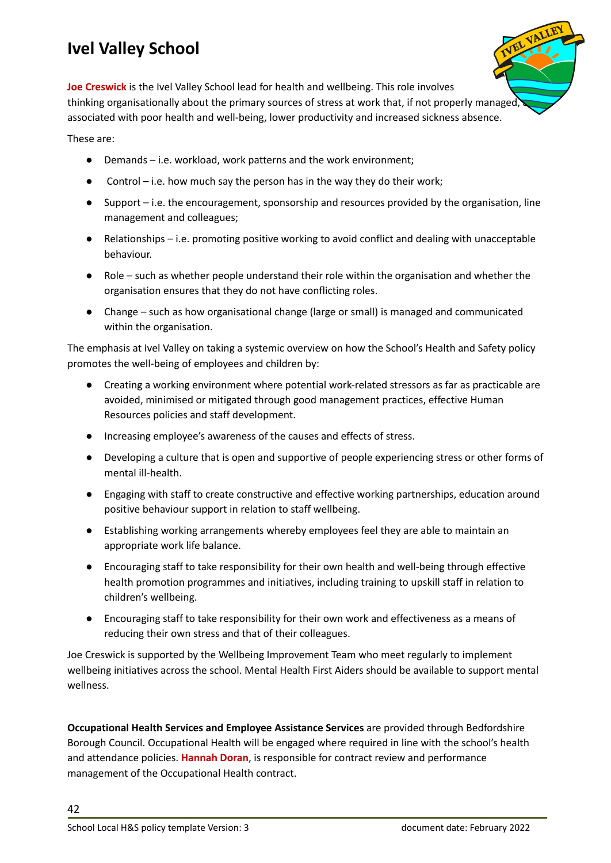**Joe Creswick** is the Ivel Valley School lead for health and wellbeing. This role involves thinking organisationally about the primary sources of stress at work that, if not properly managed, associated with poor health and well-being, lower productivity and increased sickness absence.

These are:

- Demands i.e. workload, work patterns and the work environment;
- Control i.e. how much say the person has in the way they do their work;
- Support i.e. the encouragement, sponsorship and resources provided by the organisation, line management and colleagues;
- Relationships i.e. promoting positive working to avoid conflict and dealing with unacceptable behaviour.
- Role such as whether people understand their role within the organisation and whether the organisation ensures that they do not have conflicting roles.
- Change such as how organisational change (large or small) is managed and communicated within the organisation.

The emphasis at Ivel Valley on taking a systemic overview on how the School's Health and Safety policy promotes the well-being of employees and children by:

- Creating a working environment where potential work-related stressors as far as practicable are avoided, minimised or mitigated through good management practices, effective Human Resources policies and staff development.
- Increasing employee's awareness of the causes and effects of stress.
- Developing a culture that is open and supportive of people experiencing stress or other forms of mental ill-health.
- Engaging with staff to create constructive and effective working partnerships, education around positive behaviour support in relation to staff wellbeing.
- Establishing working arrangements whereby employees feel they are able to maintain an appropriate work life balance.
- Encouraging staff to take responsibility for their own health and well-being through effective health promotion programmes and initiatives, including training to upskill staff in relation to children's wellbeing.
- Encouraging staff to take responsibility for their own work and effectiveness as a means of reducing their own stress and that of their colleagues.

Joe Creswick is supported by the Wellbeing Improvement Team who meet regularly to implement wellbeing initiatives across the school. Mental Health First Aiders should be available to support mental wellness.

**Occupational Health Services and Employee Assistance Services** are provided through Bedfordshire Borough Council. Occupational Health will be engaged where required in line with the school's health and attendance policies. **Hannah Doran**, is responsible for contract review and performance management of the Occupational Health contract.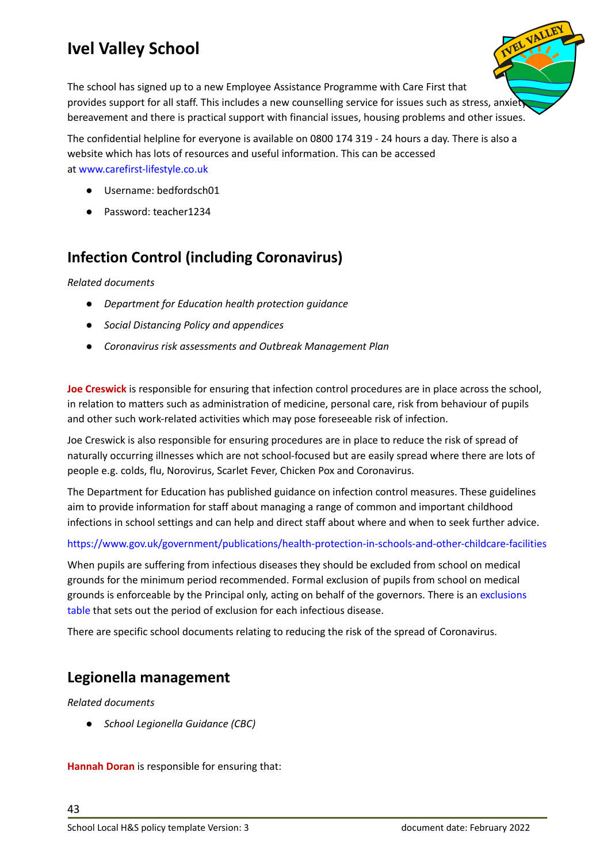

The confidential helpline for everyone is available on 0800 174 319 - 24 hours a day. There is also a website which has lots of resources and useful information. This can be accessed at [www.carefirst-lifestyle.co.uk](https://linkprotect.cudasvc.com/url?a=http%3a%2f%2fwww.carefirst-lifestyle.co.uk%2f&c=E,1,-g5Doe2X4OUmJBjdU4RI1RrqkoVS2azeI6SrHLIHrJfrMyKqNX1f5MsuiEZVBlOgnjD1XtFFhWVWyLn8och57kRIU3qoCcsL6WHUHZiIBFeG7OxOjVixQg,,&typo=1)

- Username: bedfordsch01
- Password: teacher1234

#### <span id="page-42-0"></span>**Infection Control (including Coronavirus)**

*Related documents*

- *● Department for Education health protection guidance*
- *● Social Distancing Policy and appendices*
- *● Coronavirus risk assessments and Outbreak Management Plan*

**Joe Creswick** is responsible for ensuring that infection control procedures are in place across the school, in relation to matters such as administration of medicine, personal care, risk from behaviour of pupils and other such work-related activities which may pose foreseeable risk of infection.

Joe Creswick is also responsible for ensuring procedures are in place to reduce the risk of spread of naturally occurring illnesses which are not school-focused but are easily spread where there are lots of people e.g. colds, flu, Norovirus, Scarlet Fever, Chicken Pox and Coronavirus.

The Department for Education has published guidance on infection control measures. These guidelines aim to provide information for staff about managing a range of common and important childhood infections in school settings and can help and direct staff about where and when to seek further advice.

<https://www.gov.uk/government/publications/health-protection-in-schools-and-other-childcare-facilities>

When pupils are suffering from infectious diseases they should be excluded from school on medical grounds for the minimum period recommended. Formal exclusion of pupils from school on medical grounds is enforceable by the Principal only, acting on behalf of the governors. There is an [exclusions](https://assets.publishing.service.gov.uk/government/uploads/system/uploads/attachment_data/file/789369/Exclusion_table.pdf) [table](https://assets.publishing.service.gov.uk/government/uploads/system/uploads/attachment_data/file/789369/Exclusion_table.pdf) that sets out the period of exclusion for each infectious disease.

There are specific school documents relating to reducing the risk of the spread of Coronavirus.

#### <span id="page-42-1"></span>**Legionella management**

*Related documents*

*● School Legionella Guidance (CBC)*

**Hannah Doran** is responsible for ensuring that: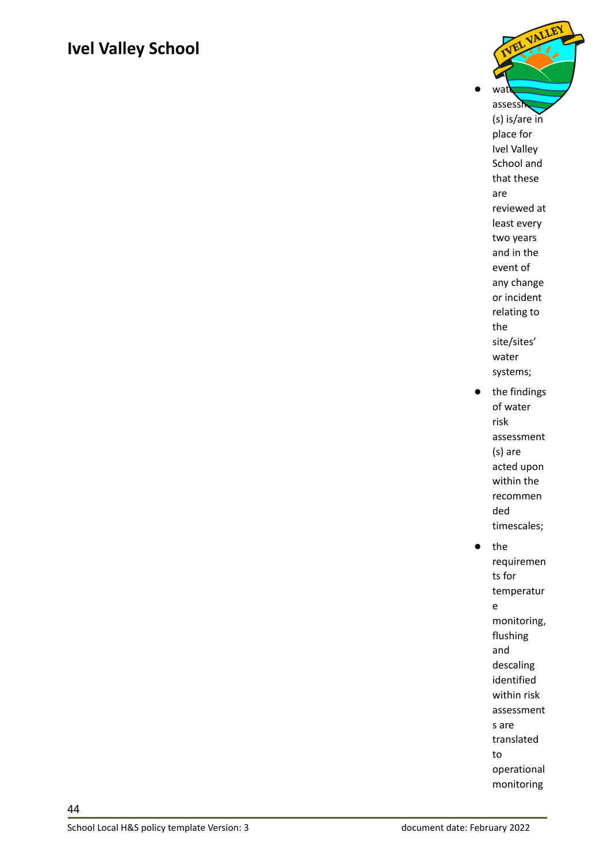

requiremen ts for temperatur e monitoring, flushing and descaling identified within risk assessment s are translated to operational monitoring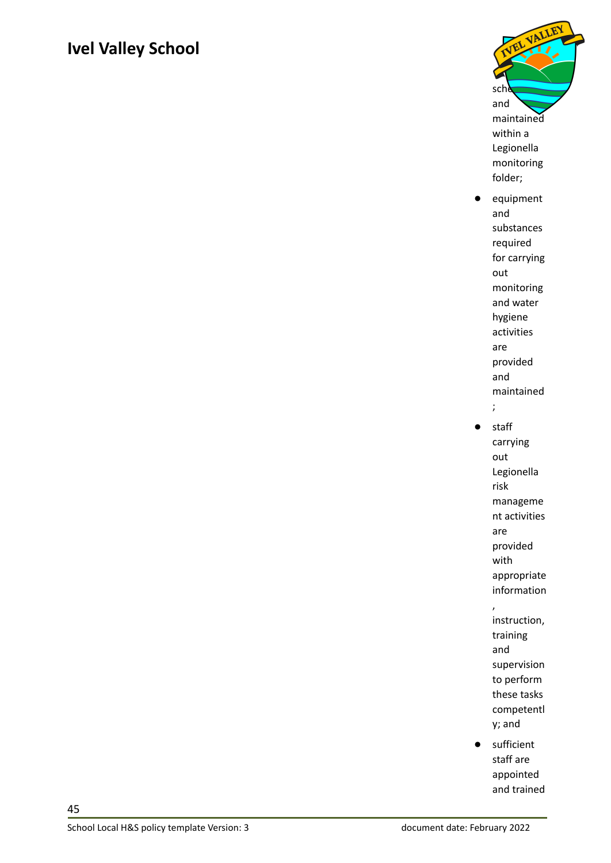

- equipment and substances required for carrying out monitoring and water hygiene activities are provided and maintained ;
- staff carrying out Legionella risk manageme nt activities are provided with appropriate information ,
	- instruction, training and supervision to perform these tasks competentl y; and
- sufficient staff are appointed and trained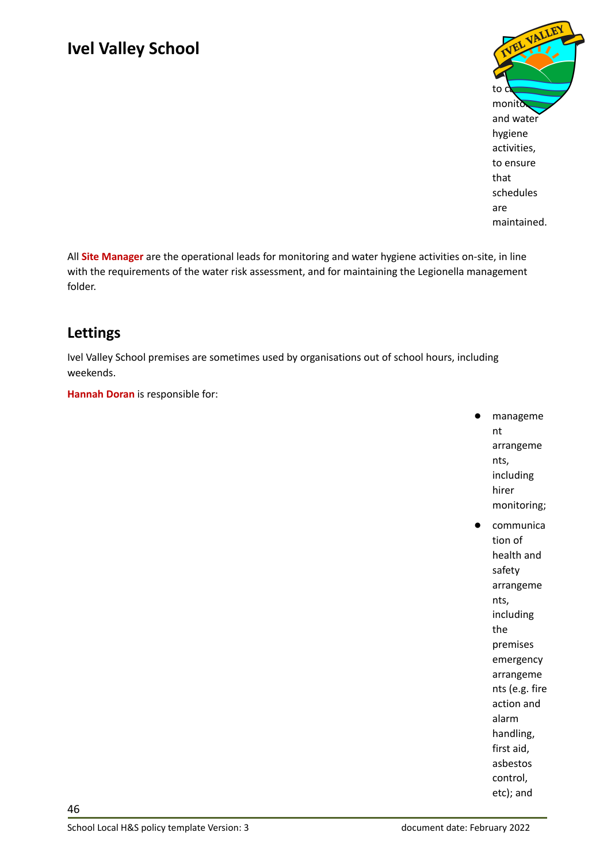

All **Site Manager** are the operational leads for monitoring and water hygiene activities on-site, in line with the requirements of the water risk assessment, and for maintaining the Legionella management folder.

#### <span id="page-45-0"></span>**Lettings**

Ivel Valley School premises are sometimes used by organisations out of school hours, including weekends.

**Hannah Doran** is responsible for:

- manageme nt arrangeme nts, including hirer monitoring;
- communica tion of health and safety arrangeme nts, including the premises emergency arrangeme nts (e.g. fire action and alarm handling, first aid, asbestos control, etc); and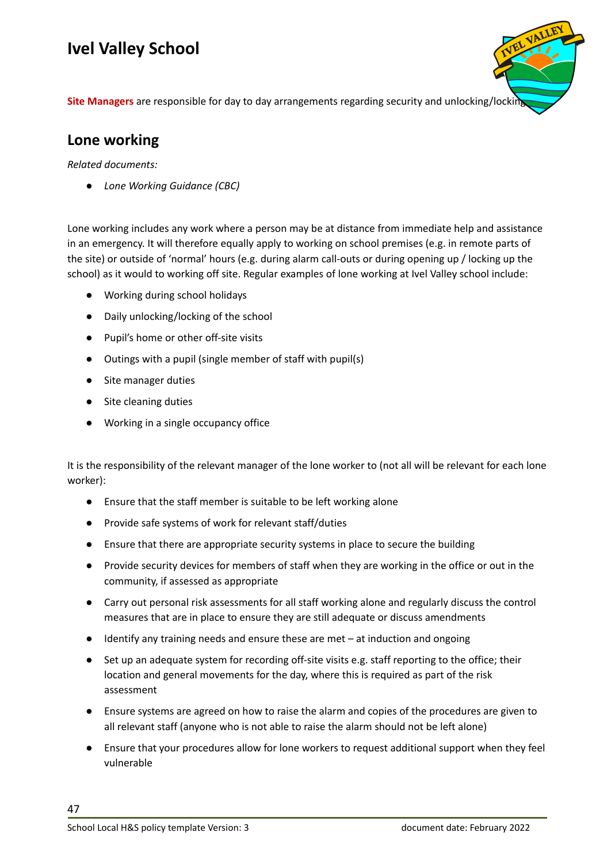**Site Managers** are responsible for day to day arrangements regarding security and unlocking/locking up.

#### <span id="page-46-0"></span>**Lone working**

*Related documents:*

*● Lone Working Guidance (CBC)*

Lone working includes any work where a person may be at distance from immediate help and assistance in an emergency. It will therefore equally apply to working on school premises (e.g. in remote parts of the site) or outside of 'normal' hours (e.g. during alarm call-outs or during opening up / locking up the school) as it would to working off site. Regular examples of lone working at Ivel Valley school include:

- Working during school holidays
- Daily unlocking/locking of the school
- Pupil's home or other off-site visits
- Outings with a pupil (single member of staff with pupil(s)
- Site manager duties
- Site cleaning duties
- **●** Working in a single occupancy office

It is the responsibility of the relevant manager of the lone worker to (not all will be relevant for each lone worker):

- Ensure that the staff member is suitable to be left working alone
- Provide safe systems of work for relevant staff/duties
- Ensure that there are appropriate security systems in place to secure the building
- Provide security devices for members of staff when they are working in the office or out in the community, if assessed as appropriate
- Carry out personal risk assessments for all staff working alone and regularly discuss the control measures that are in place to ensure they are still adequate or discuss amendments
- Identify any training needs and ensure these are met  $-$  at induction and ongoing
- Set up an adequate system for recording off-site visits e.g. staff reporting to the office; their location and general movements for the day, where this is required as part of the risk assessment
- Ensure systems are agreed on how to raise the alarm and copies of the procedures are given to all relevant staff (anyone who is not able to raise the alarm should not be left alone)
- Ensure that your procedures allow for lone workers to request additional support when they feel vulnerable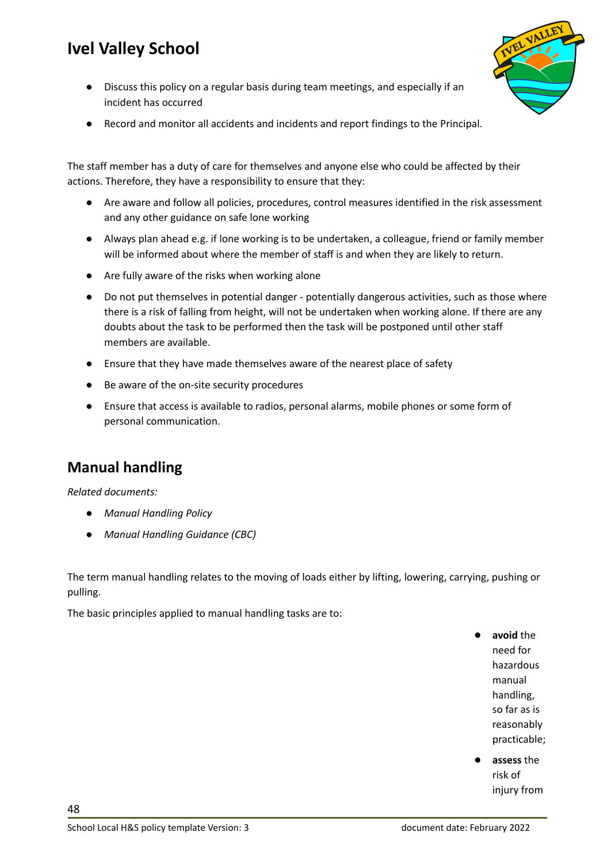Discuss this policy on a regular basis during team meetings, and especially if an incident has occurred



● Record and monitor all accidents and incidents and report findings to the Principal.

The staff member has a duty of care for themselves and anyone else who could be affected by their actions. Therefore, they have a responsibility to ensure that they:

- Are aware and follow all policies, procedures, control measures identified in the risk assessment and any other guidance on safe lone working
- Always plan ahead e.g. if lone working is to be undertaken, a colleague, friend or family member will be informed about where the member of staff is and when they are likely to return.
- Are fully aware of the risks when working alone
- Do not put themselves in potential danger potentially dangerous activities, such as those where there is a risk of falling from height, will not be undertaken when working alone. If there are any doubts about the task to be performed then the task will be postponed until other staff members are available.
- Ensure that they have made themselves aware of the nearest place of safety
- Be aware of the on-site security procedures
- Ensure that access is available to radios, personal alarms, mobile phones or some form of personal communication.

#### <span id="page-47-0"></span>**Manual handling**

*Related documents:*

- *● Manual Handling Policy*
- *● Manual Handling Guidance (CBC)*

The term manual handling relates to the moving of loads either by lifting, lowering, carrying, pushing or pulling.

The basic principles applied to manual handling tasks are to:

- avoid the need for hazardous manual handling, so far as is reasonably practicable;
- **assess** the risk of injury from
- School Local H&S policy template Version: 3 document date: February 2022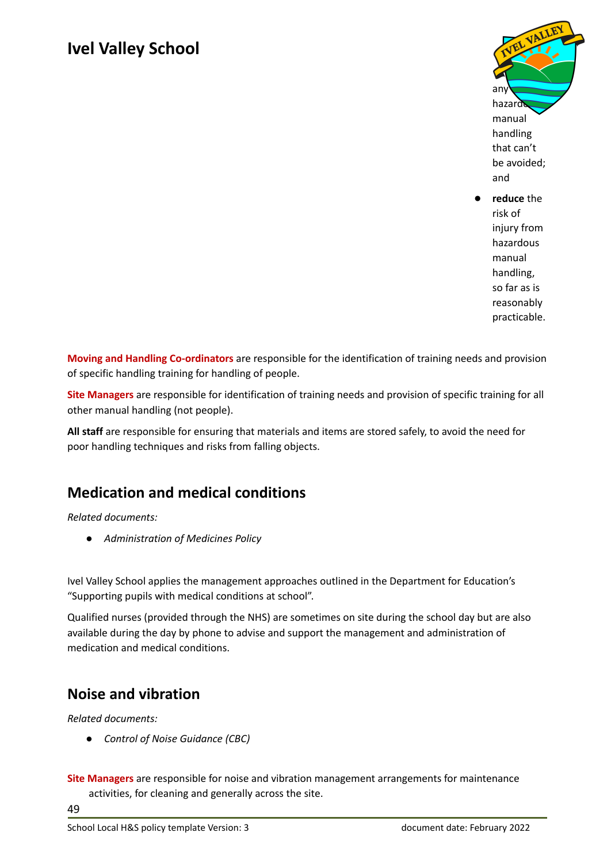

**reduce** the risk of injury from hazardous manual handling, so far as is reasonably practicable.

**Moving and Handling Co-ordinators** are responsible for the identification of training needs and provision of specific handling training for handling of people.

**Site Managers** are responsible for identification of training needs and provision of specific training for all other manual handling (not people).

**All staff** are responsible for ensuring that materials and items are stored safely, to avoid the need for poor handling techniques and risks from falling objects.

#### <span id="page-48-0"></span>**Medication and medical conditions**

*Related documents:*

*● Administration of Medicines Policy*

Ivel Valley School applies the management approaches outlined in the Department for Education's "Supporting pupils with medical conditions at school".

Qualified nurses (provided through the NHS) are sometimes on site during the school day but are also available during the day by phone to advise and support the management and administration of medication and medical conditions.

#### <span id="page-48-1"></span>**Noise and vibration**

*Related documents:*

- *● Control of Noise Guidance (CBC)*
- **Site Managers** are responsible for noise and vibration management arrangements for maintenance activities, for cleaning and generally across the site.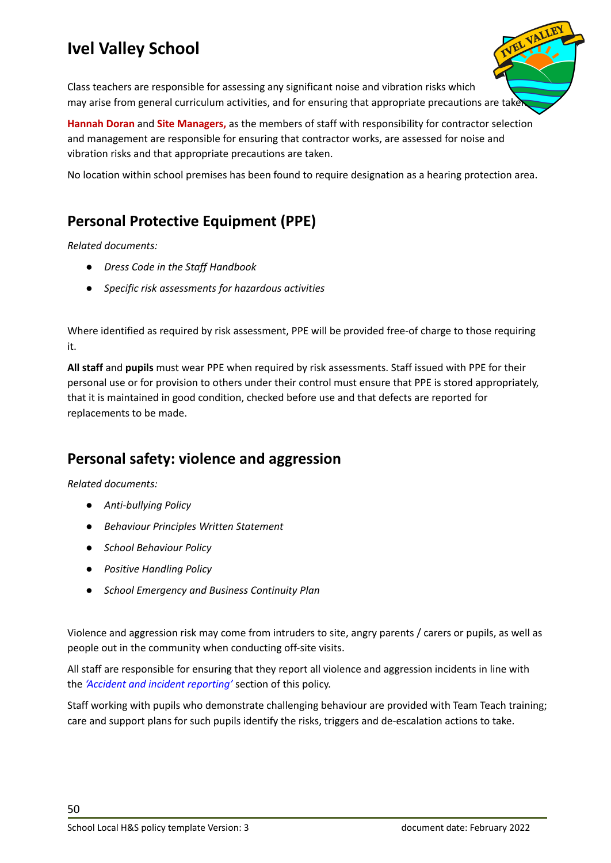

**Hannah Doran** and **Site Managers,** as the members of staff with responsibility for contractor selection and management are responsible for ensuring that contractor works, are assessed for noise and vibration risks and that appropriate precautions are taken.

No location within school premises has been found to require designation as a hearing protection area.

#### <span id="page-49-0"></span>**Personal Protective Equipment (PPE)**

*Related documents:*

- *● Dress Code in the Staff Handbook*
- *● Specific risk assessments for hazardous activities*

Where identified as required by risk assessment, PPE will be provided free-of charge to those requiring it.

**All staff** and **pupils** must wear PPE when required by risk assessments. Staff issued with PPE for their personal use or for provision to others under their control must ensure that PPE is stored appropriately, that it is maintained in good condition, checked before use and that defects are reported for replacements to be made.

#### <span id="page-49-1"></span>**Personal safety: violence and aggression**

*Related documents:*

- *● Anti-bullying Policy*
- *● Behaviour Principles Written Statement*
- *● School Behaviour Policy*
- *● Positive Handling Policy*
- *● School Emergency and Business Continuity Plan*

Violence and aggression risk may come from intruders to site, angry parents / carers or pupils, as well as people out in the community when conducting off-site visits.

All staff are responsible for ensuring that they report all violence and aggression incidents in line with the *'Accident and incident [reporting'](#page-17-1)* section of this policy.

Staff working with pupils who demonstrate challenging behaviour are provided with Team Teach training; care and support plans for such pupils identify the risks, triggers and de-escalation actions to take.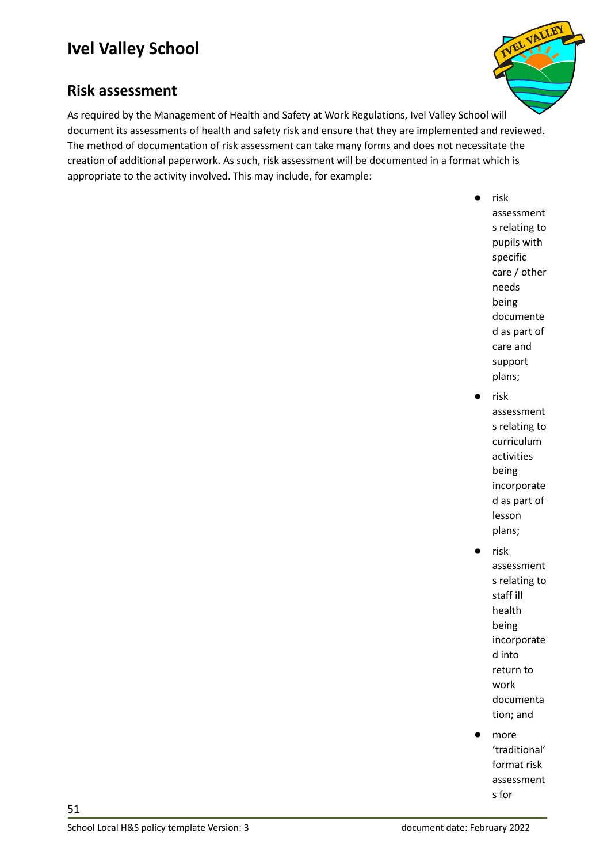

#### <span id="page-50-0"></span>**Risk assessment**

As required by the Management of Health and Safety at Work Regulations, Ivel Valley School will document its assessments of health and safety risk and ensure that they are implemented and reviewed. The method of documentation of risk assessment can take many forms and does not necessitate the creation of additional paperwork. As such, risk assessment will be documented in a format which is appropriate to the activity involved. This may include, for example:

- risk assessment s relating to pupils with specific care / other needs being documente d as part of care and support plans; risk
	- assessment s relating to curriculum activities being incorporate d as part of lesson plans;
- risk assessment s relating to staff ill health being incorporate d into return to work documenta tion; and
- more 'traditional' format risk assessment s for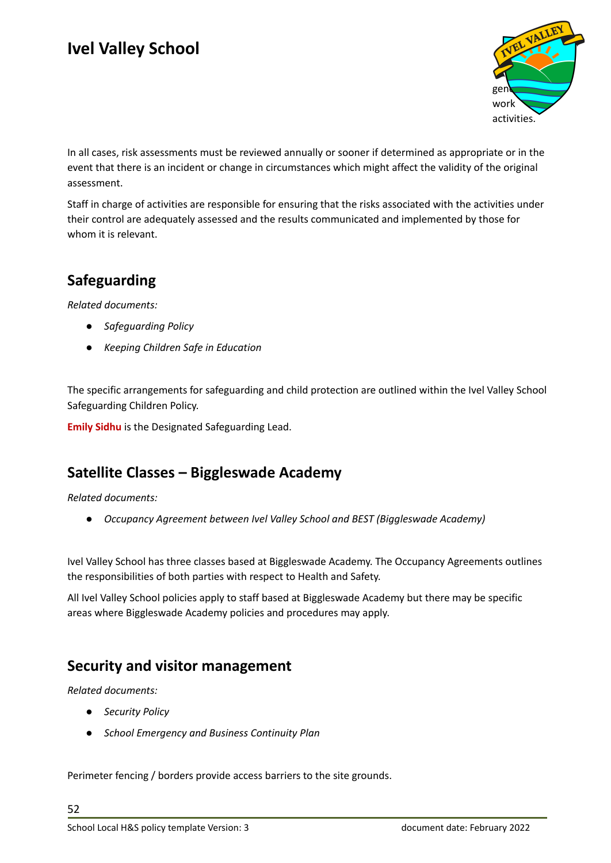

In all cases, risk assessments must be reviewed annually or sooner if determined as appropriate or in the event that there is an incident or change in circumstances which might affect the validity of the original assessment.

Staff in charge of activities are responsible for ensuring that the risks associated with the activities under their control are adequately assessed and the results communicated and implemented by those for whom it is relevant.

#### <span id="page-51-0"></span>**Safeguarding**

*Related documents:*

- *● Safeguarding Policy*
- *● Keeping Children Safe in Education*

The specific arrangements for safeguarding and child protection are outlined within the Ivel Valley School Safeguarding Children Policy.

**Emily Sidhu** is the Designated Safeguarding Lead.

#### <span id="page-51-1"></span>**Satellite Classes – Biggleswade Academy**

*Related documents:*

*● Occupancy Agreement between Ivel Valley School and BEST (Biggleswade Academy)*

Ivel Valley School has three classes based at Biggleswade Academy. The Occupancy Agreements outlines the responsibilities of both parties with respect to Health and Safety.

All Ivel Valley School policies apply to staff based at Biggleswade Academy but there may be specific areas where Biggleswade Academy policies and procedures may apply.

#### <span id="page-51-2"></span>**Security and visitor management**

*Related documents:*

- *● Security Policy*
- *● School Emergency and Business Continuity Plan*

Perimeter fencing / borders provide access barriers to the site grounds.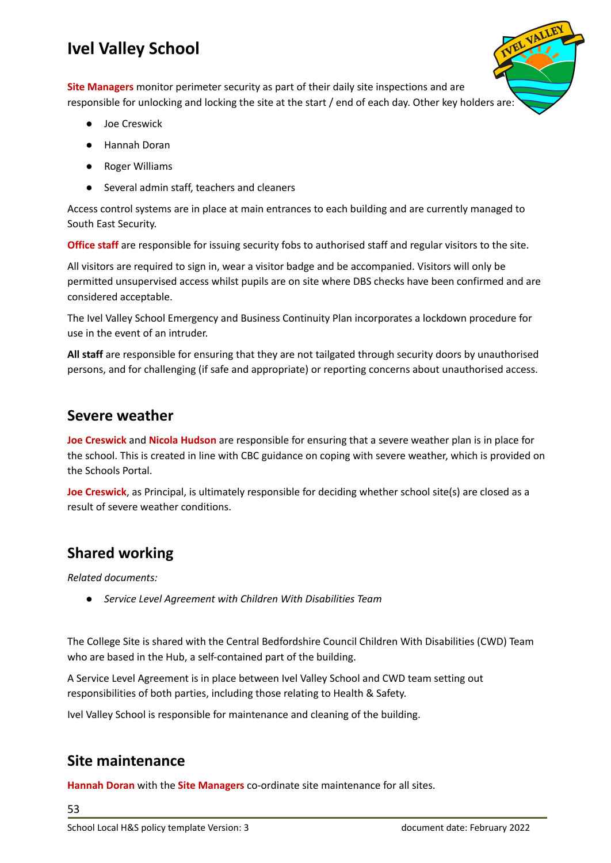**Site Managers** monitor perimeter security as part of their daily site inspections and are responsible for unlocking and locking the site at the start / end of each day. Other key holders are:

- Joe Creswick
- Hannah Doran
- **Roger Williams**
- Several admin staff, teachers and cleaners

Access control systems are in place at main entrances to each building and are currently managed to South East Security.

**Office staff** are responsible for issuing security fobs to authorised staff and regular visitors to the site.

All visitors are required to sign in, wear a visitor badge and be accompanied. Visitors will only be permitted unsupervised access whilst pupils are on site where DBS checks have been confirmed and are considered acceptable.

The Ivel Valley School Emergency and Business Continuity Plan incorporates a lockdown procedure for use in the event of an intruder.

**All staff** are responsible for ensuring that they are not tailgated through security doors by unauthorised persons, and for challenging (if safe and appropriate) or reporting concerns about unauthorised access.

#### <span id="page-52-0"></span>**Severe weather**

**Joe Creswick** and **Nicola Hudson** are responsible for ensuring that a severe weather plan is in place for the school. This is created in line with CBC guidance on coping with severe weather, which is provided on the Schools Portal.

**Joe Creswick**, as Principal, is ultimately responsible for deciding whether school site(s) are closed as a result of severe weather conditions.

#### <span id="page-52-1"></span>**Shared working**

*Related documents:*

*● Service Level Agreement with Children With Disabilities Team*

The College Site is shared with the Central Bedfordshire Council Children With Disabilities (CWD) Team who are based in the Hub, a self-contained part of the building.

A Service Level Agreement is in place between Ivel Valley School and CWD team setting out responsibilities of both parties, including those relating to Health & Safety.

Ivel Valley School is responsible for maintenance and cleaning of the building.

#### <span id="page-52-2"></span>**Site maintenance**

**Hannah Doran** with the **Site Managers** co-ordinate site maintenance for all sites.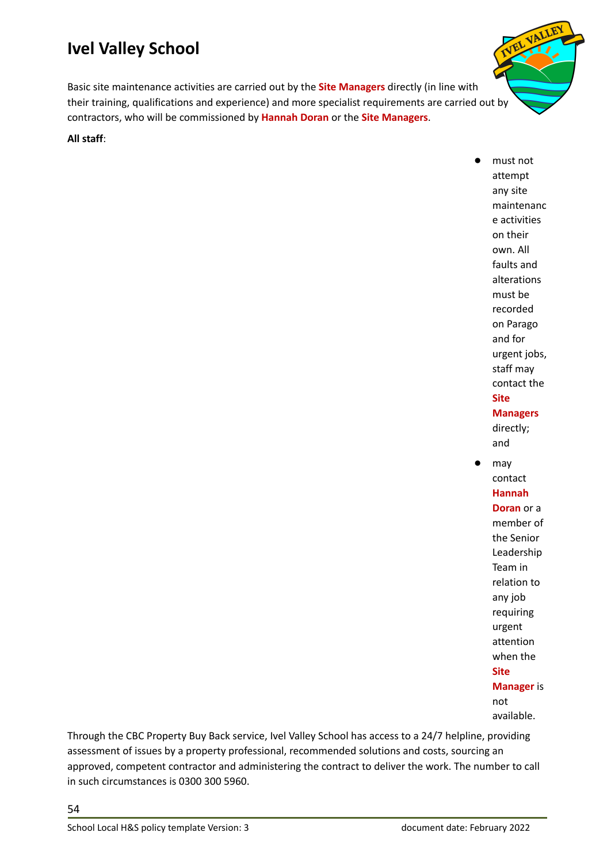Basic site maintenance activities are carried out by the **Site Managers** directly (in line with their training, qualifications and experience) and more specialist requirements are carried out by contractors, who will be commissioned by **Hannah Doran** or the **Site Managers**.

#### **All staff**:

must not attempt any site maintenanc e activities on their own. All faults and alterations must be recorded on Parago and for urgent jobs, staff may contact the **Site Managers** directly; and may contact **Hannah Doran** or a member of

the Senior Leadership Team in relation to any job requiring urgent attention when the **Site Manager** is not available.

Through the CBC Property Buy Back service, Ivel Valley School has access to a 24/7 helpline, providing assessment of issues by a property professional, recommended solutions and costs, sourcing an approved, competent contractor and administering the contract to deliver the work. The number to call in such circumstances is 0300 300 5960.

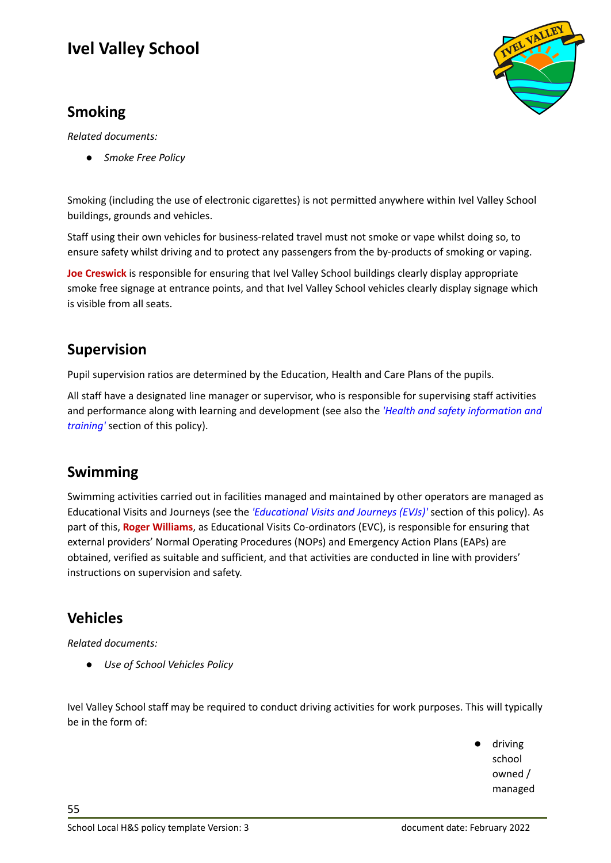#### <span id="page-54-0"></span>**Smoking**

*Related documents:*

*● Smoke Free Policy*

Smoking (including the use of electronic cigarettes) is not permitted anywhere within Ivel Valley School buildings, grounds and vehicles.

Staff using their own vehicles for business-related travel must not smoke or vape whilst doing so, to ensure safety whilst driving and to protect any passengers from the by-products of smoking or vaping.

**Joe Creswick** is responsible for ensuring that Ivel Valley School buildings clearly display appropriate smoke free signage at entrance points, and that Ivel Valley School vehicles clearly display signage which is visible from all seats.

#### <span id="page-54-1"></span>**Supervision**

Pupil supervision ratios are determined by the Education, Health and Care Plans of the pupils.

All staff have a designated line manager or supervisor, who is responsible for supervising staff activities and performance along with learning and development (see also the *'Health and safety [information](#page-39-0) and [training'](#page-39-0)* section of this policy).

#### <span id="page-54-2"></span>**Swimming**

Swimming activities carried out in facilities managed and maintained by other operators are managed as Educational Visits and Journeys (see the *['Educational](#page-33-1) Visits and Journeys (EVJs)'* section of this policy). As part of this, **Roger Williams**, as Educational Visits Co-ordinators (EVC), is responsible for ensuring that external providers' Normal Operating Procedures (NOPs) and Emergency Action Plans (EAPs) are obtained, verified as suitable and sufficient, and that activities are conducted in line with providers' instructions on supervision and safety.

#### <span id="page-54-3"></span>**Vehicles**

55

*Related documents:*

*● Use of School Vehicles Policy*

Ivel Valley School staff may be required to conduct driving activities for work purposes. This will typically be in the form of:

> driving school owned / managed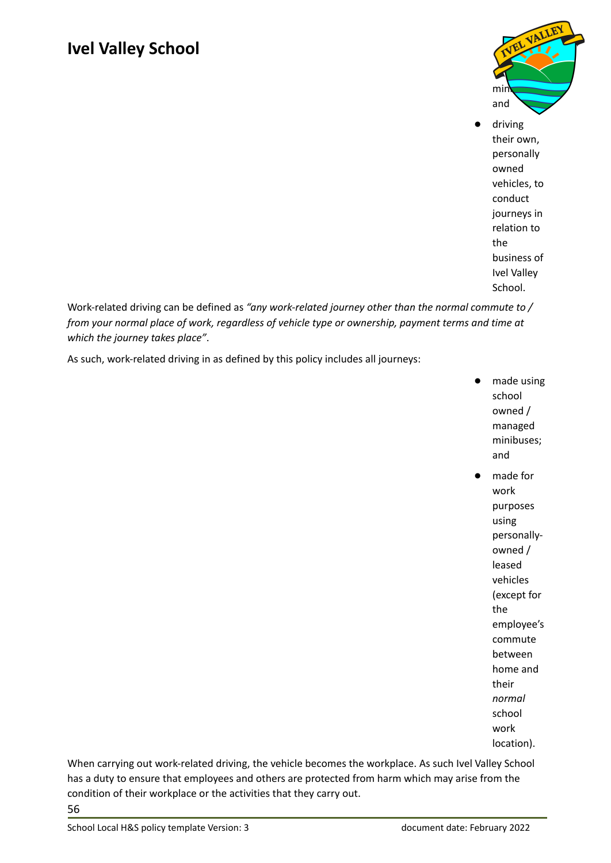

driving their own, personally owned vehicles, to conduct journeys in relation to the business of Ivel Valley School.

Work-related driving can be defined as *"any work-related journey other than the normal commute to / from your normal place of work, regardless of vehicle type or ownership, payment terms and time at which the journey takes place"*.

As such, work-related driving in as defined by this policy includes all journeys:

- made using school owned / managed minibuses; and
	- made for work purposes using personallyowned / leased vehicles (except for the employee's commute between home and their *normal* school work location).

When carrying out work-related driving, the vehicle becomes the workplace. As such Ivel Valley School has a duty to ensure that employees and others are protected from harm which may arise from the condition of their workplace or the activities that they carry out. 56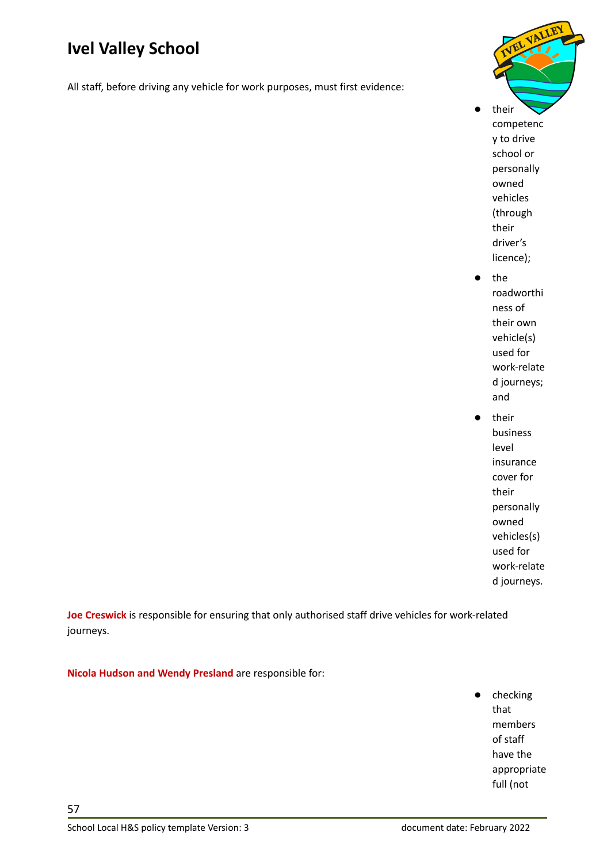All staff, before driving any vehicle for work purposes, must first evidence:



their competenc y to drive school or personally owned vehicles (through their driver's licence);

- the roadworthi ness of their own vehicle(s) used for work-relate d journeys; and
- their business level insurance cover for their personally owned vehicles(s) used for work-relate d journeys.

**Joe Creswick** is responsible for ensuring that only authorised staff drive vehicles for work-related journeys.

**Nicola Hudson and Wendy Presland** are responsible for:

● checking that members of staff have the appropriate full (not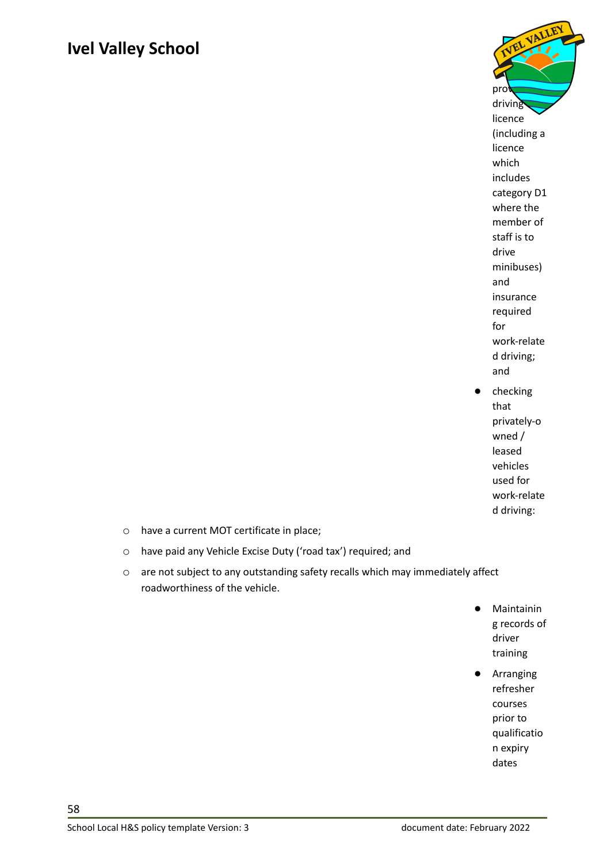

● checking that privately-o wned / leased vehicles used for work-relate d driving:

- o have a current MOT certificate in place;
- o have paid any Vehicle Excise Duty ('road tax') required; and
- o are not subject to any outstanding safety recalls which may immediately affect roadworthiness of the vehicle.
	- Maintainin g records of driver training
	- Arranging refresher courses prior to qualificatio n expiry dates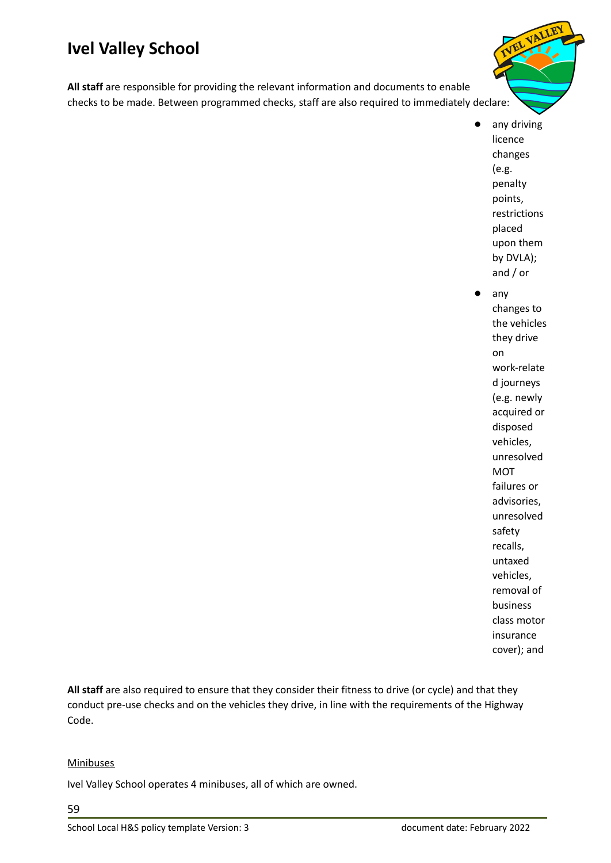**All staff** are responsible for providing the relevant information and documents to enable checks to be made. Between programmed checks, staff are also required to immediately declare:

> ● any driving licence changes (e.g. penalty points, restrictions placed upon them by DVLA); and / or

any changes to the vehicles they drive on work-relate d journeys (e.g. newly acquired or disposed vehicles, unresolved MOT failures or advisories, unresolved safety recalls, untaxed vehicles, removal of business class motor insurance cover); and

**All staff** are also required to ensure that they consider their fitness to drive (or cycle) and that they conduct pre-use checks and on the vehicles they drive, in line with the requirements of the Highway Code.

#### **Minibuses**

Ivel Valley School operates 4 minibuses, all of which are owned.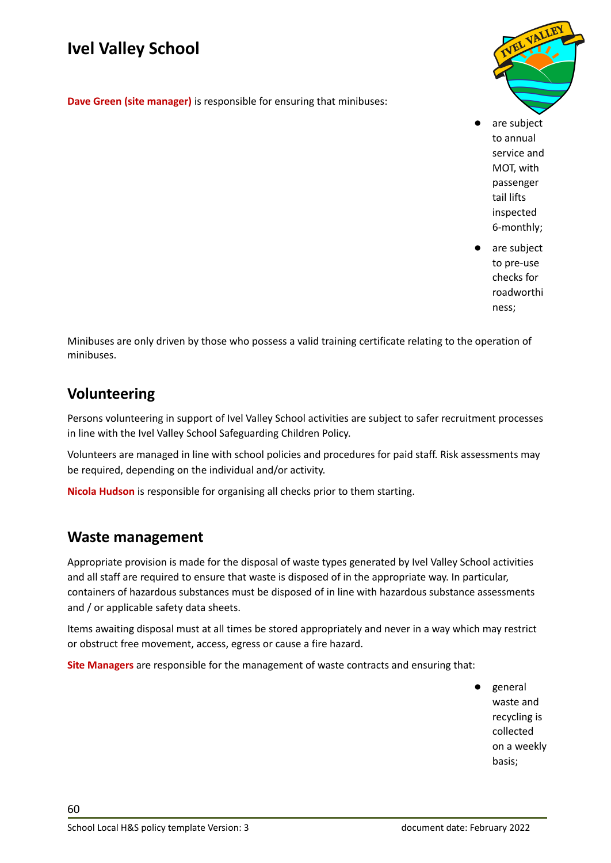**Dave Green (site manager)** is responsible for ensuring that minibuses:



are subject to annual service and MOT, with passenger tail lifts inspected 6-monthly;

are subject to pre-use checks for roadworthi ness;

Minibuses are only driven by those who possess a valid training certificate relating to the operation of minibuses.

#### <span id="page-59-0"></span>**Volunteering**

Persons volunteering in support of Ivel Valley School activities are subject to safer recruitment processes in line with the Ivel Valley School Safeguarding Children Policy.

Volunteers are managed in line with school policies and procedures for paid staff. Risk assessments may be required, depending on the individual and/or activity.

**Nicola Hudson** is responsible for organising all checks prior to them starting.

#### <span id="page-59-1"></span>**Waste management**

Appropriate provision is made for the disposal of waste types generated by Ivel Valley School activities and all staff are required to ensure that waste is disposed of in the appropriate way. In particular, containers of hazardous substances must be disposed of in line with hazardous substance assessments and / or applicable safety data sheets.

Items awaiting disposal must at all times be stored appropriately and never in a way which may restrict or obstruct free movement, access, egress or cause a fire hazard.

**Site Managers** are responsible for the management of waste contracts and ensuring that:

general waste and recycling is collected on a weekly basis;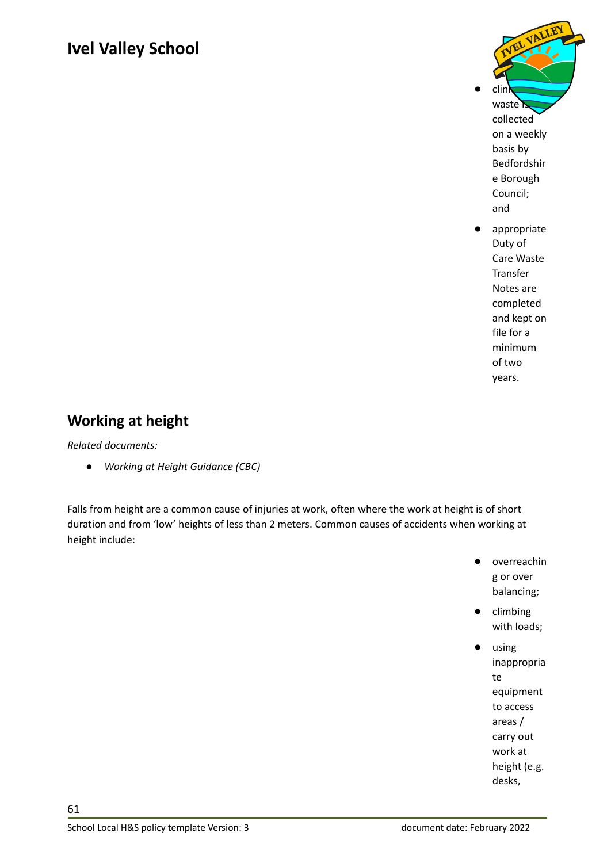

Care Waste Transfer Notes are completed and kept on file for a minimum of two years.

#### <span id="page-60-0"></span>**Working at height**

*Related documents:*

*● Working at Height Guidance (CBC)*

Falls from height are a common cause of injuries at work, often where the work at height is of short duration and from 'low' heights of less than 2 meters. Common causes of accidents when working at height include:

- overreachin g or over balancing;
- climbing with loads;
- using inappropria te equipment to access areas / carry out work at height (e.g. desks,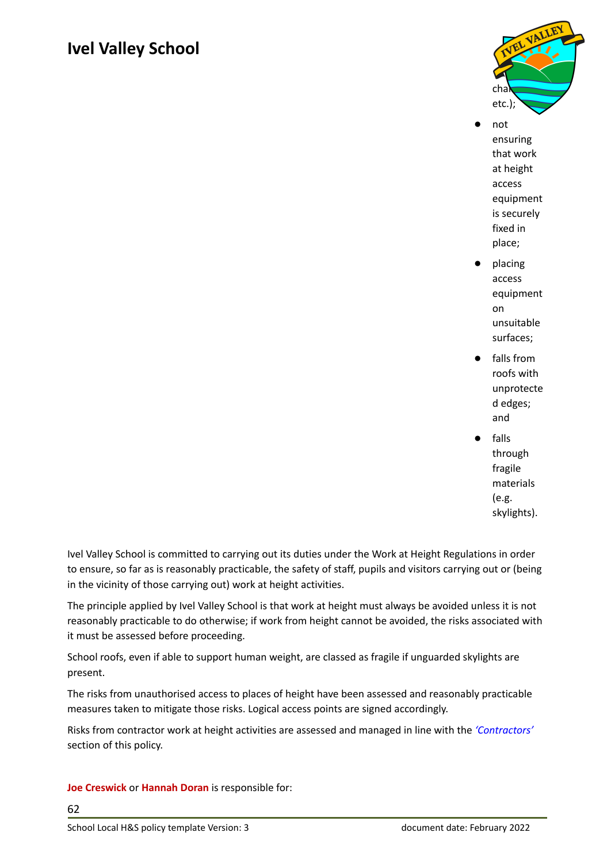

- not ensuring that work at height access equipment is securely fixed in place;
- placing access equipment on unsuitable surfaces;
- falls from roofs with unprotecte d edges; and
	- falls through fragile materials (e.g. skylights).

Ivel Valley School is committed to carrying out its duties under the Work at Height Regulations in order to ensure, so far as is reasonably practicable, the safety of staff, pupils and visitors carrying out or (being in the vicinity of those carrying out) work at height activities.

The principle applied by Ivel Valley School is that work at height must always be avoided unless it is not reasonably practicable to do otherwise; if work from height cannot be avoided, the risks associated with it must be assessed before proceeding.

School roofs, even if able to support human weight, are classed as fragile if unguarded skylights are present.

The risks from unauthorised access to places of height have been assessed and reasonably practicable measures taken to mitigate those risks. Logical access points are signed accordingly.

Risks from contractor work at height activities are assessed and managed in line with the *['Contractors'](#page-28-1)* section of this policy.

#### **Joe Creswick** or **Hannah Doran** is responsible for: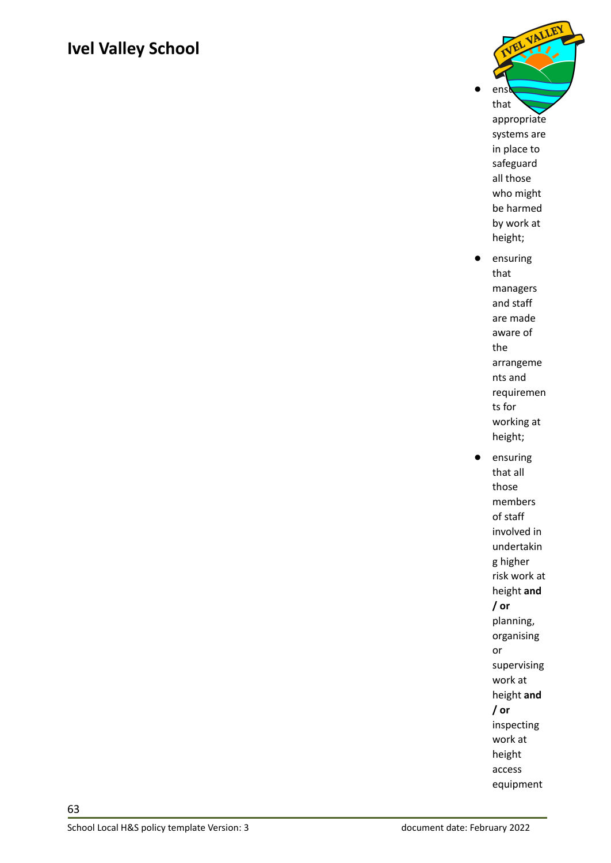

that all those members of staff involved in undertakin g higher risk work at height **and / or** planning, organising or supervising work at height **and / or** inspecting work at height access equipment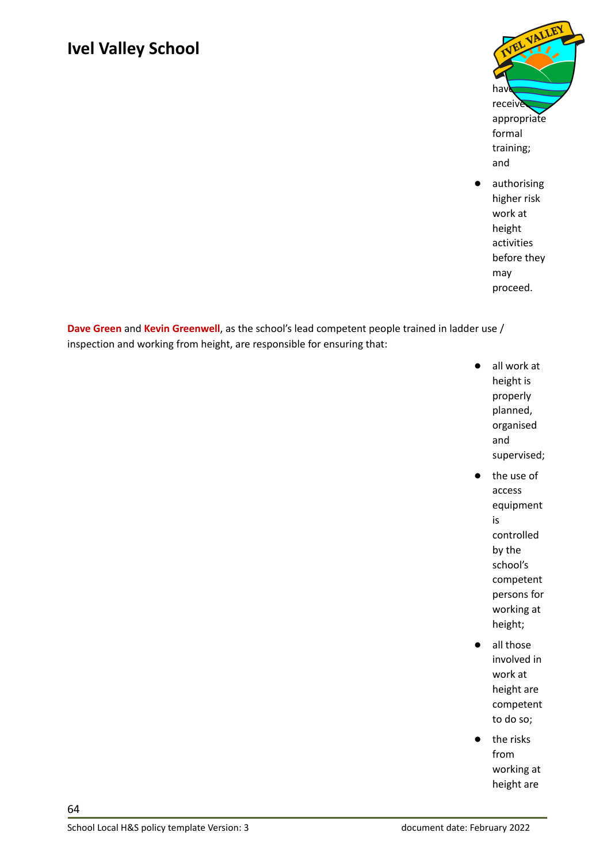

authorising higher risk work at height activities before they may proceed.

**Dave Green** and **Kevin Greenwell**, as the school's lead competent people trained in ladder use / inspection and working from height, are responsible for ensuring that:

- all work at height is properly planned, organised and supervised;
	- the use of access equipment is controlled by the school's competent persons for working at height;
- all those involved in work at height are competent to do so;
- the risks from working at height are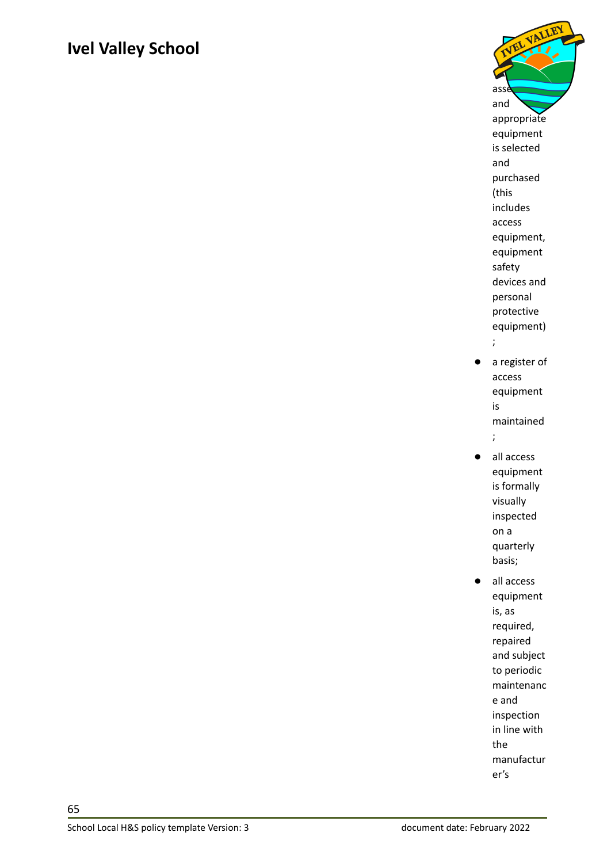

- a register of access equipment is maintained ;
- all access equipment is formally visually inspected on a quarterly basis;
- all access equipment is, as required, repaired and subject to periodic maintenanc e and inspection in line with the manufactur er's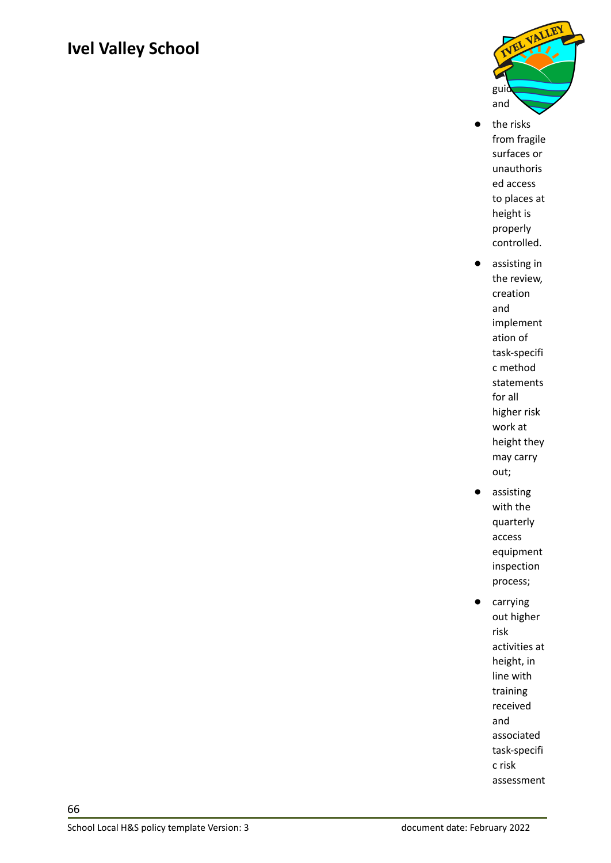

- the risks from fragile surfaces or unauthoris ed access to places at height is properly controlled.
- assisting in the review, creation and implement ation of task-specifi c method statements for all higher risk work at height they may carry out;
- assisting with the quarterly access equipment inspection process;
- carrying out higher risk activities at height, in line with training received and associated task-specifi c risk assessment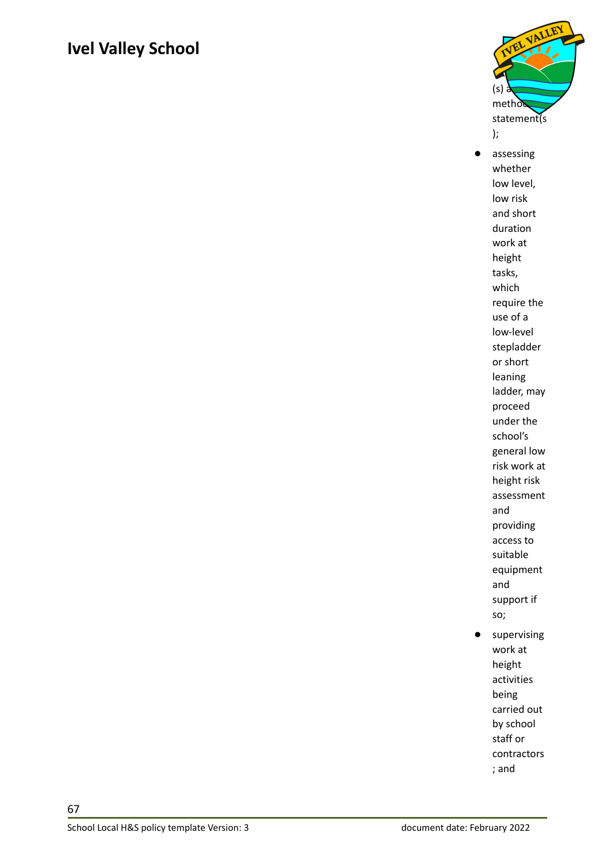

● assessing whether low level, low risk and short duration work at height tasks, which require the use of a low-level stepladder or short leaning ladder, may proceed under the school's general low risk work at height risk assessment and providing access to suitable equipment and support if so; ● supervising

work at height activities being carried out by school staff or contractors ; and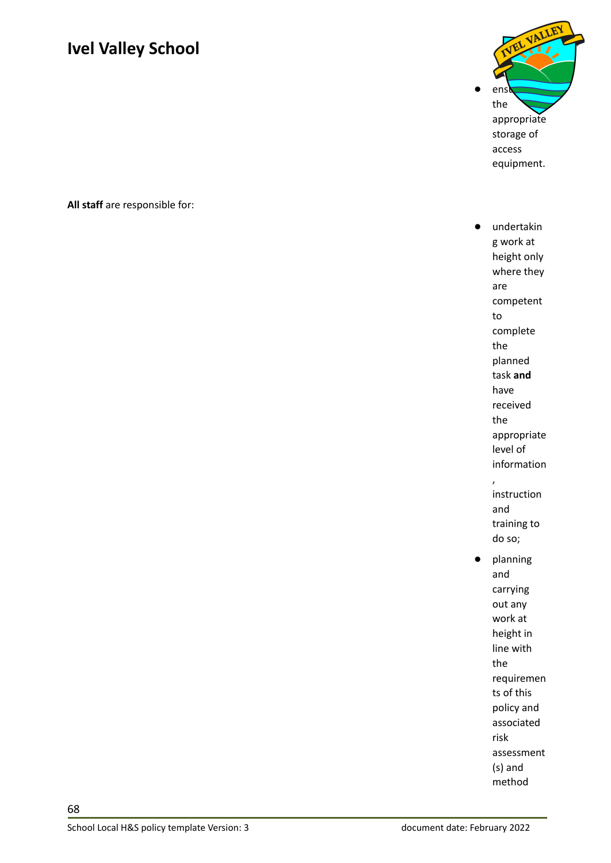$\bullet$  ens the appropriate storage of access equipment.

**All staff** are responsible for:

undertakin g work at height only where they are competent to complete the planned task **and** have received the appropriate level of information , instruction and training to do so; ● planning and carrying out any work at height in line with the requiremen ts of this policy and associated risk assessment (s) and method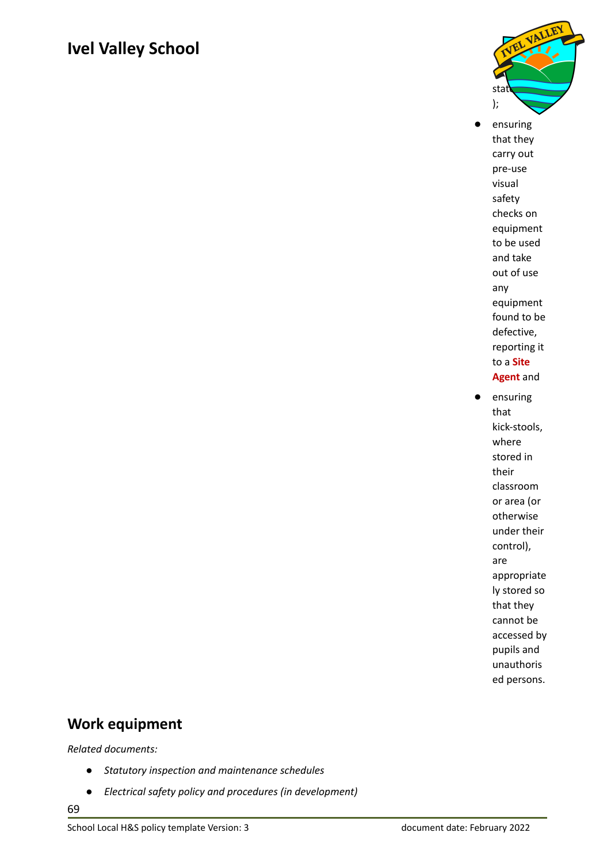

- ensuring that they carry out pre-use visual safety checks on equipment to be used and take out of use any equipment found to be defective, reporting it to a **Site Agent** and
- ensuring that kick-stools, where stored in their classroom or area (or otherwise under their control), are appropriate ly stored so that they cannot be accessed by pupils and unauthoris ed persons.

#### <span id="page-68-0"></span>**Work equipment**

*Related documents:*

- *● Statutory inspection and maintenance schedules*
- *● Electrical safety policy and procedures (in development)*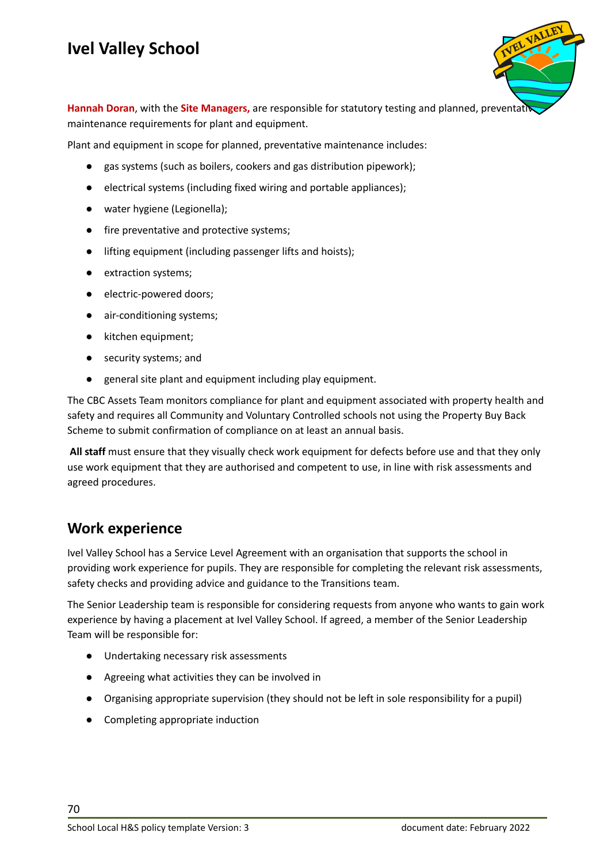

**Hannah Doran**, with the **Site Managers,** are responsible for statutory testing and planned, preventative maintenance requirements for plant and equipment.

Plant and equipment in scope for planned, preventative maintenance includes:

- gas systems (such as boilers, cookers and gas distribution pipework);
- electrical systems (including fixed wiring and portable appliances);
- water hygiene (Legionella);
- fire preventative and protective systems;
- lifting equipment (including passenger lifts and hoists);
- extraction systems;
- electric-powered doors;
- air-conditioning systems;
- kitchen equipment;
- security systems; and
- general site plant and equipment including play equipment.

The CBC Assets Team monitors compliance for plant and equipment associated with property health and safety and requires all Community and Voluntary Controlled schools not using the Property Buy Back Scheme to submit confirmation of compliance on at least an annual basis.

**All staff** must ensure that they visually check work equipment for defects before use and that they only use work equipment that they are authorised and competent to use, in line with risk assessments and agreed procedures.

#### <span id="page-69-0"></span>**Work experience**

Ivel Valley School has a Service Level Agreement with an organisation that supports the school in providing work experience for pupils. They are responsible for completing the relevant risk assessments, safety checks and providing advice and guidance to the Transitions team.

The Senior Leadership team is responsible for considering requests from anyone who wants to gain work experience by having a placement at Ivel Valley School. If agreed, a member of the Senior Leadership Team will be responsible for:

- Undertaking necessary risk assessments
- Agreeing what activities they can be involved in
- Organising appropriate supervision (they should not be left in sole responsibility for a pupil)
- Completing appropriate induction